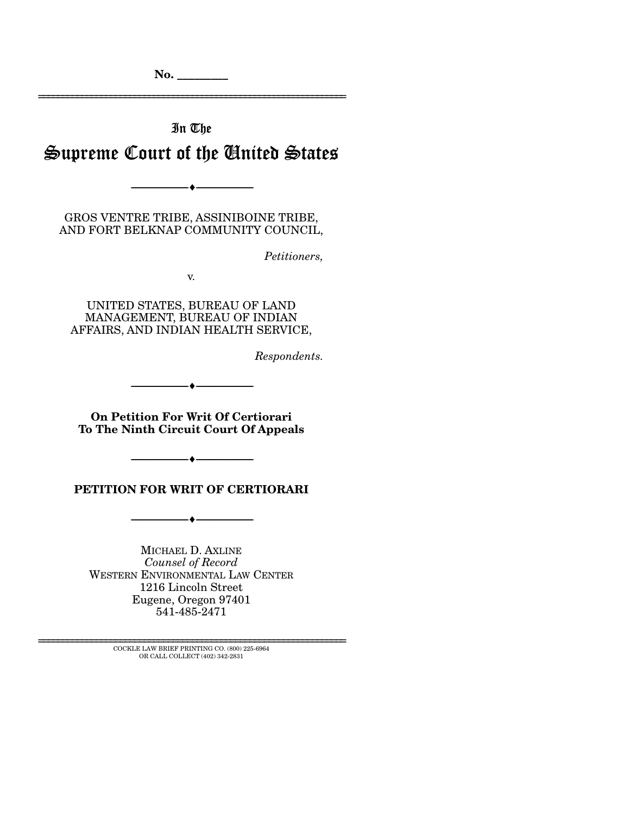**No. \_\_\_\_\_\_\_\_\_** 

# In The Supreme Court of the United States

================================================================

GROS VENTRE TRIBE, ASSINIBOINE TRIBE, AND FORT BELKNAP COMMUNITY COUNCIL,

 $-\hspace{-0.04cm}\bullet\hspace{-0.04cm}-$ 

*Petitioners,* 

v.

UNITED STATES, BUREAU OF LAND MANAGEMENT, BUREAU OF INDIAN AFFAIRS, AND INDIAN HEALTH SERVICE,

*Respondents.* 

**On Petition For Writ Of Certiorari** 

--------------------------------- ♦ ---------------------------------

**To The Ninth Circuit Court Of Appeals** 

**PETITION FOR WRIT OF CERTIORARI** 

--------------------------------- ♦ ---------------------------------

--------------------------------- ♦ ---------------------------------

MICHAEL D. AXLINE *Counsel of Record*  WESTERN ENVIRONMENTAL LAW CENTER 1216 Lincoln Street Eugene, Oregon 97401 541-485-2471

> ${\rm COCKLE}$  LAW BRIEF PRINTING CO. (800) 225-6964 OR CALL COLLECT (402) 342-2831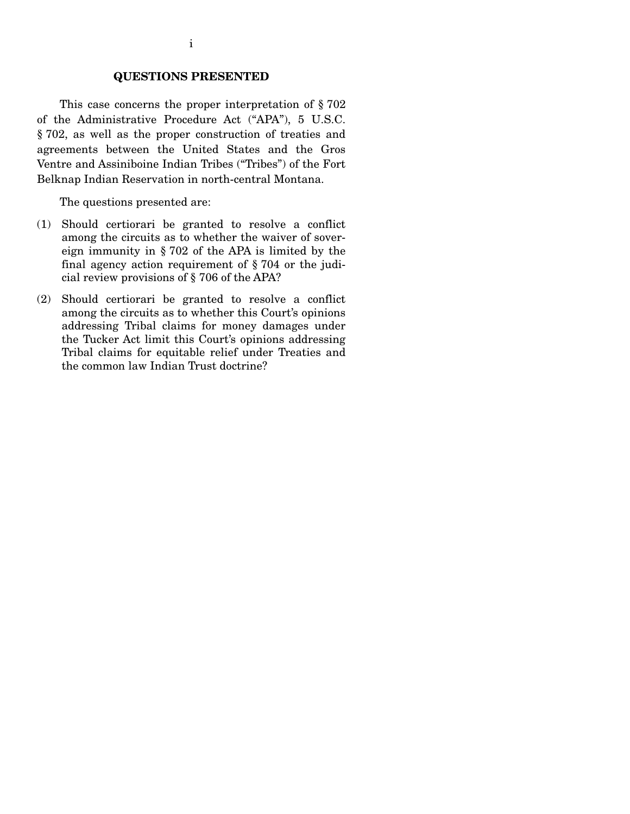#### **QUESTIONS PRESENTED**

 This case concerns the proper interpretation of § 702 of the Administrative Procedure Act ("APA"), 5 U.S.C. § 702, as well as the proper construction of treaties and agreements between the United States and the Gros Ventre and Assiniboine Indian Tribes ("Tribes") of the Fort Belknap Indian Reservation in north-central Montana.

The questions presented are:

- (1) Should certiorari be granted to resolve a conflict among the circuits as to whether the waiver of sovereign immunity in § 702 of the APA is limited by the final agency action requirement of § 704 or the judicial review provisions of § 706 of the APA?
- (2) Should certiorari be granted to resolve a conflict among the circuits as to whether this Court's opinions addressing Tribal claims for money damages under the Tucker Act limit this Court's opinions addressing Tribal claims for equitable relief under Treaties and the common law Indian Trust doctrine?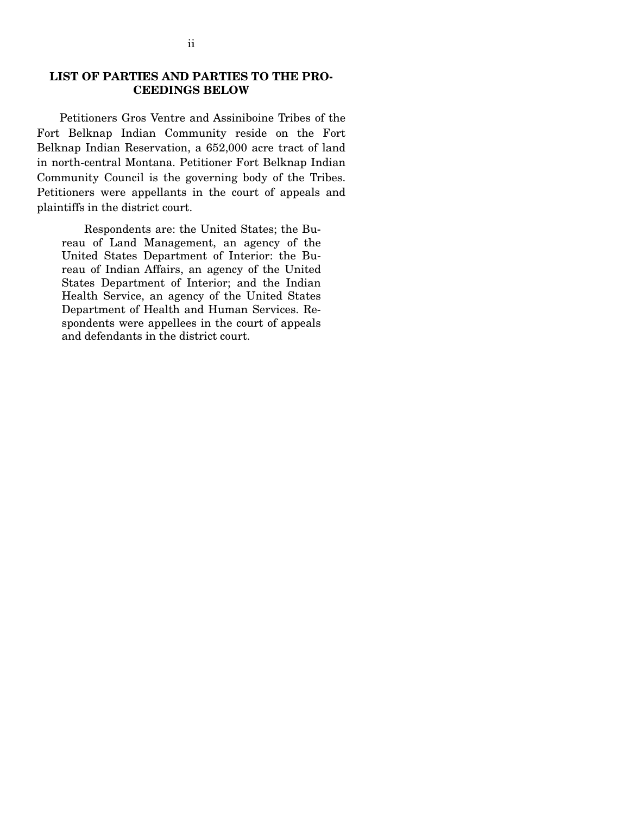### **LIST OF PARTIES AND PARTIES TO THE PRO-CEEDINGS BELOW**

 Petitioners Gros Ventre and Assiniboine Tribes of the Fort Belknap Indian Community reside on the Fort Belknap Indian Reservation, a 652,000 acre tract of land in north-central Montana. Petitioner Fort Belknap Indian Community Council is the governing body of the Tribes. Petitioners were appellants in the court of appeals and plaintiffs in the district court.

 Respondents are: the United States; the Bureau of Land Management, an agency of the United States Department of Interior: the Bureau of Indian Affairs, an agency of the United States Department of Interior; and the Indian Health Service, an agency of the United States Department of Health and Human Services. Respondents were appellees in the court of appeals and defendants in the district court.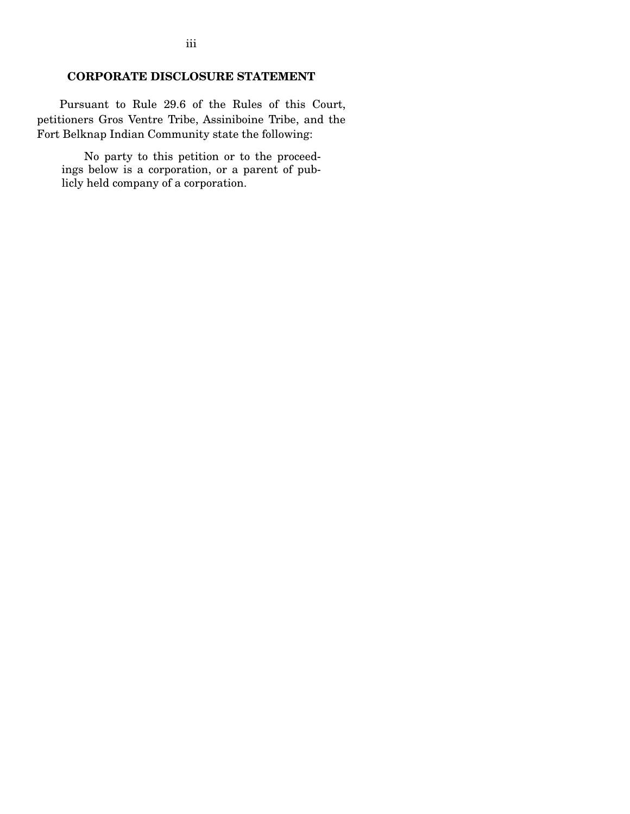### **CORPORATE DISCLOSURE STATEMENT**

 Pursuant to Rule 29.6 of the Rules of this Court, petitioners Gros Ventre Tribe, Assiniboine Tribe, and the Fort Belknap Indian Community state the following:

 No party to this petition or to the proceedings below is a corporation, or a parent of publicly held company of a corporation.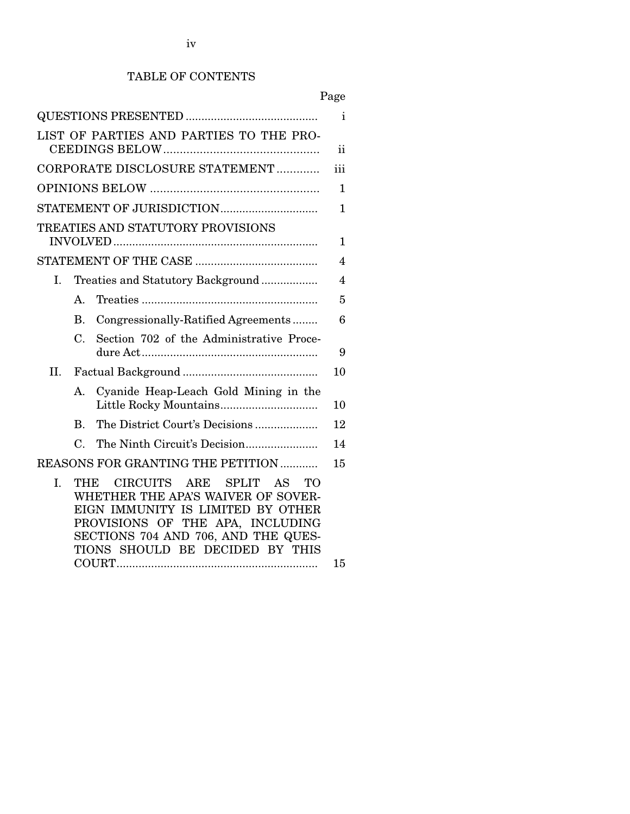# TABLE OF CONTENTS

|     |               |                                                                                                                                                                                                                                    | Page |
|-----|---------------|------------------------------------------------------------------------------------------------------------------------------------------------------------------------------------------------------------------------------------|------|
|     |               |                                                                                                                                                                                                                                    | Ť    |
|     |               | LIST OF PARTIES AND PARTIES TO THE PRO-                                                                                                                                                                                            | ij   |
|     |               | CORPORATE DISCLOSURE STATEMENT                                                                                                                                                                                                     | iii  |
|     |               |                                                                                                                                                                                                                                    | 1    |
|     |               |                                                                                                                                                                                                                                    | 1    |
|     |               | TREATIES AND STATUTORY PROVISIONS                                                                                                                                                                                                  | 1    |
|     |               |                                                                                                                                                                                                                                    | 4    |
| L   |               | Treaties and Statutory Background                                                                                                                                                                                                  | 4    |
|     | A.            |                                                                                                                                                                                                                                    | 5    |
|     | B.            | Congressionally-Ratified Agreements                                                                                                                                                                                                | 6    |
|     | $C_{\cdot}$   | Section 702 of the Administrative Proce-                                                                                                                                                                                           | 9    |
| II. |               |                                                                                                                                                                                                                                    | 10   |
|     | $A_{-}$       | Cyanide Heap-Leach Gold Mining in the                                                                                                                                                                                              | 10   |
|     | B.            | The District Court's Decisions                                                                                                                                                                                                     | 12   |
|     | $\mathcal{C}$ |                                                                                                                                                                                                                                    | 14   |
|     |               | REASONS FOR GRANTING THE PETITION                                                                                                                                                                                                  | 15   |
| I.  | THE           | CIRCUITS ARE<br><b>SPLIT</b><br>AS.<br>TO<br>WHETHER THE APA'S WAIVER OF SOVER-<br>EIGN IMMUNITY IS LIMITED BY OTHER<br>PROVISIONS OF THE APA, INCLUDING<br>SECTIONS 704 AND 706, AND THE QUES-<br>TIONS SHOULD BE DECIDED BY THIS | 15   |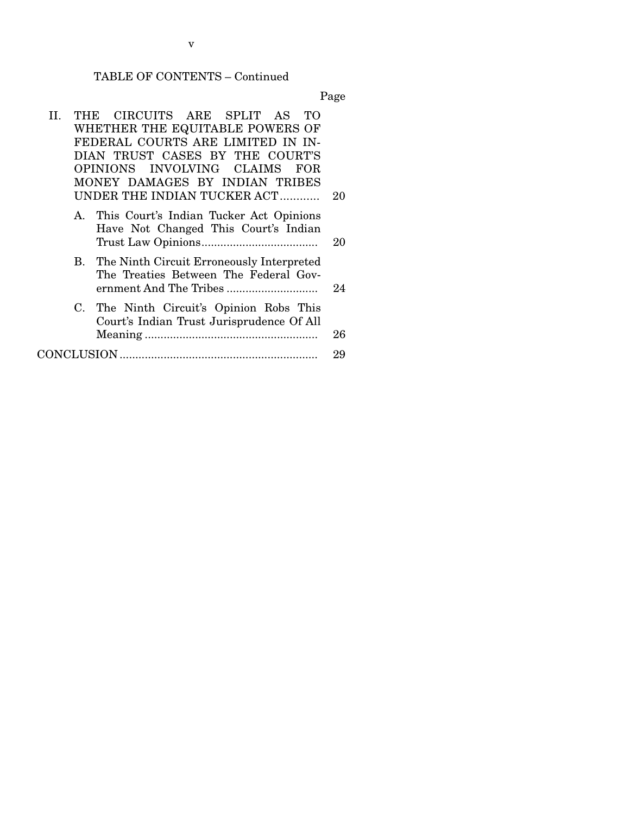# TABLE OF CONTENTS – Continued

Page

| H. |    | THE CIRCUITS ARE SPLIT AS TO                                                          |    |
|----|----|---------------------------------------------------------------------------------------|----|
|    |    | WHETHER THE EQUITABLE POWERS OF                                                       |    |
|    |    | FEDERAL COURTS ARE LIMITED IN IN-                                                     |    |
|    |    | DIAN TRUST CASES BY THE COURT'S                                                       |    |
|    |    | OPINIONS INVOLVING CLAIMS FOR                                                         |    |
|    |    | MONEY DAMAGES BY INDIAN TRIBES<br>UNDER THE INDIAN TUCKER ACT                         | 20 |
|    |    | A. This Court's Indian Tucker Act Opinions<br>Have Not Changed This Court's Indian    |    |
|    |    |                                                                                       | 20 |
|    | В. | The Ninth Circuit Erroneously Interpreted<br>The Treaties Between The Federal Gov-    |    |
|    |    |                                                                                       | 24 |
|    |    | C. The Ninth Circuit's Opinion Robs This<br>Court's Indian Trust Jurisprudence Of All |    |
|    |    |                                                                                       | 26 |
|    |    |                                                                                       | 29 |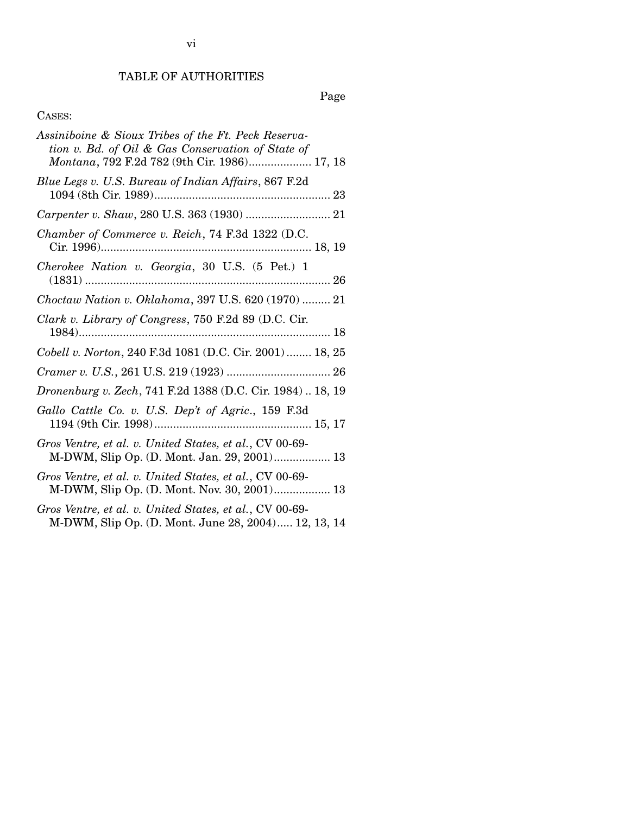# TABLE OF AUTHORITIES

Page

### CASES:

| Assiniboine & Sioux Tribes of the Ft. Peck Reserva-<br>tion v. Bd. of Oil & Gas Conservation of State of       |
|----------------------------------------------------------------------------------------------------------------|
| Montana, 792 F.2d 782 (9th Cir. 1986) 17, 18                                                                   |
| Blue Legs v. U.S. Bureau of Indian Affairs, 867 F.2d                                                           |
|                                                                                                                |
| Chamber of Commerce v. Reich, 74 F.3d 1322 (D.C.                                                               |
| Cherokee Nation v. Georgia, 30 U.S. (5 Pet.) 1                                                                 |
| Choctaw Nation v. Oklahoma, 397 U.S. 620 (1970)  21                                                            |
| Clark v. Library of Congress, 750 F.2d 89 (D.C. Cir.                                                           |
| Cobell v. Norton, 240 F.3d 1081 (D.C. Cir. 2001)  18, 25                                                       |
|                                                                                                                |
| Dronenburg v. Zech, 741 F.2d 1388 (D.C. Cir. 1984) 18, 19                                                      |
| Gallo Cattle Co. v. U.S. Dep't of Agric., 159 F.3d                                                             |
| Gros Ventre, et al. v. United States, et al., CV 00-69-<br>M-DWM, Slip Op. (D. Mont. Jan. 29, 2001) 13         |
| Gros Ventre, et al. v. United States, et al., CV 00-69-<br>M-DWM, Slip Op. (D. Mont. Nov. 30, 2001) 13         |
| Gros Ventre, et al. v. United States, et al., CV 00-69-<br>M-DWM, Slip Op. (D. Mont. June 28, 2004) 12, 13, 14 |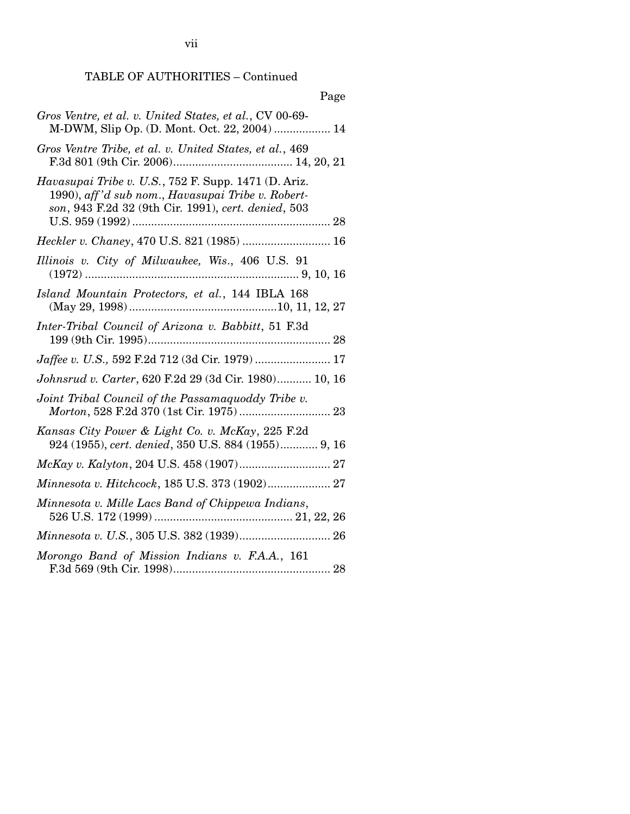vii

# TABLE OF AUTHORITIES – Continued

| Page                                                                                                                                                             |
|------------------------------------------------------------------------------------------------------------------------------------------------------------------|
| Gros Ventre, et al. v. United States, et al., CV 00-69-<br>M-DWM, Slip Op. (D. Mont. Oct. 22, 2004)  14                                                          |
| Gros Ventre Tribe, et al. v. United States, et al., 469                                                                                                          |
| Havasupai Tribe v. U.S., 752 F. Supp. 1471 (D. Ariz.<br>1990), aff'd sub nom., Havasupai Tribe v. Robert-<br>son, 943 F.2d 32 (9th Cir. 1991), cert. denied, 503 |
|                                                                                                                                                                  |
| Illinois v. City of Milwaukee, Wis., 406 U.S. 91                                                                                                                 |
| Island Mountain Protectors, et al., 144 IBLA 168                                                                                                                 |
| Inter-Tribal Council of Arizona v. Babbitt, 51 F.3d                                                                                                              |
| Jaffee v. U.S., 592 F.2d 712 (3d Cir. 1979)  17                                                                                                                  |
| Johnsrud v. Carter, 620 F.2d 29 (3d Cir. 1980) 10, 16                                                                                                            |
| Joint Tribal Council of the Passamaquoddy Tribe v.<br>Morton, 528 F.2d 370 (1st Cir. 1975)  23                                                                   |
| Kansas City Power & Light Co. v. McKay, 225 F.2d<br>924 (1955), cert. denied, 350 U.S. 884 (1955) 9, 16                                                          |
|                                                                                                                                                                  |
| Minnesota v. Hitchcock, 185 U.S. 373 (1902) 27                                                                                                                   |
| Minnesota v. Mille Lacs Band of Chippewa Indians,                                                                                                                |
|                                                                                                                                                                  |
| Morongo Band of Mission Indians v. F.A.A., 161                                                                                                                   |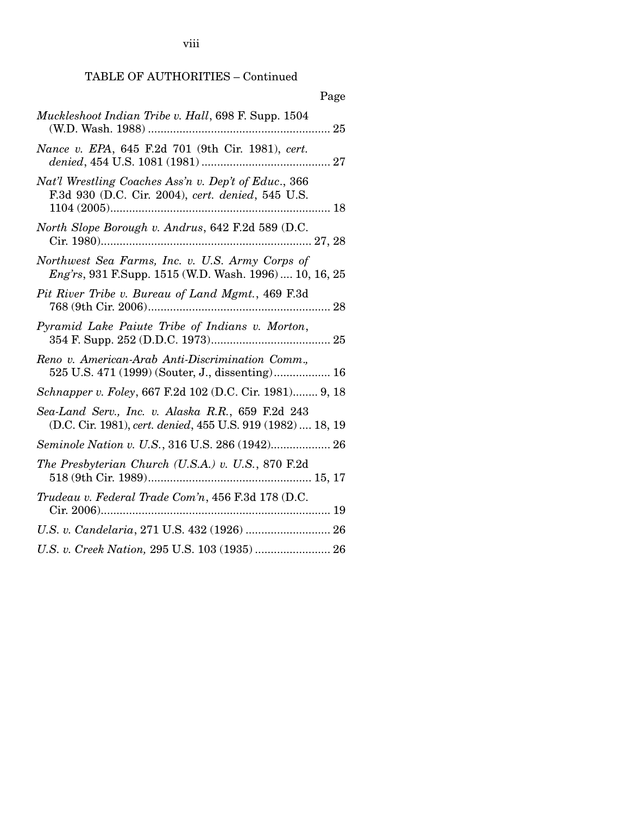viii

# TABLE OF AUTHORITIES – Continued

|                                                                                                                  | Page |
|------------------------------------------------------------------------------------------------------------------|------|
| Muckleshoot Indian Tribe v. Hall, 698 F. Supp. 1504                                                              |      |
| Nance v. EPA, 645 F.2d 701 (9th Cir. 1981), cert.                                                                |      |
| Nat'l Wrestling Coaches Ass'n v. Dep't of Educ., 366<br>F.3d 930 (D.C. Cir. 2004), cert. denied, 545 U.S.        |      |
| North Slope Borough v. Andrus, 642 F.2d 589 (D.C.                                                                |      |
| Northwest Sea Farms, Inc. v. U.S. Army Corps of<br>Eng'rs, 931 F.Supp. 1515 (W.D. Wash. 1996)  10, 16, 25        |      |
| Pit River Tribe v. Bureau of Land Mgmt., 469 F.3d                                                                |      |
| Pyramid Lake Paiute Tribe of Indians v. Morton,                                                                  |      |
| Reno v. American-Arab Anti-Discrimination Comm.,<br>525 U.S. 471 (1999) (Souter, J., dissenting) 16              |      |
| Schnapper v. Foley, 667 F.2d 102 (D.C. Cir. 1981) 9, 18                                                          |      |
| Sea-Land Serv., Inc. v. Alaska R.R., 659 F.2d 243<br>(D.C. Cir. 1981), cert. denied, 455 U.S. 919 (1982)  18, 19 |      |
| Seminole Nation v. U.S., 316 U.S. 286 (1942) 26                                                                  |      |
| The Presbyterian Church (U.S.A.) v. U.S., 870 F.2d                                                               |      |
| Trudeau v. Federal Trade Com'n, 456 F.3d 178 (D.C.                                                               |      |
|                                                                                                                  |      |
| U.S. v. Creek Nation, 295 U.S. 103 (1935)  26                                                                    |      |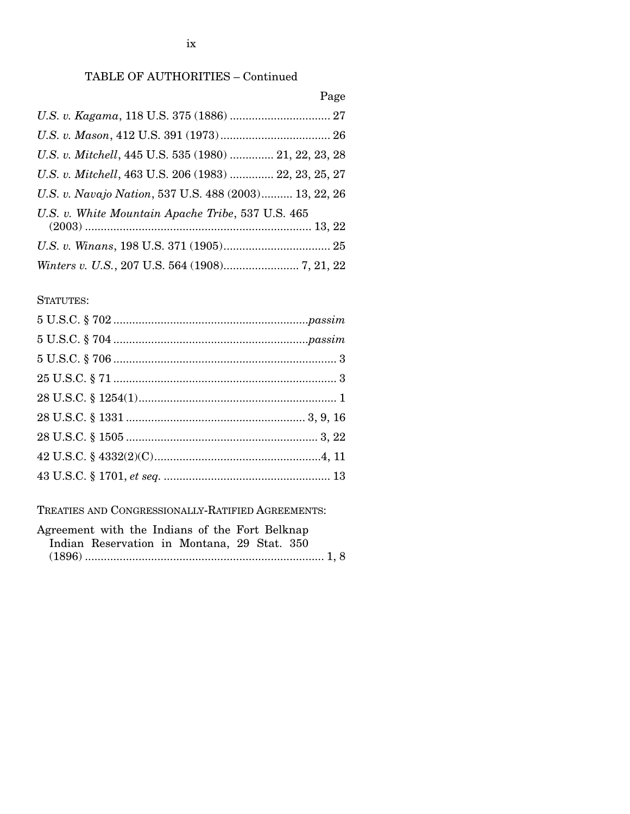# TABLE OF AUTHORITIES – Continued

| Page                                                  |
|-------------------------------------------------------|
|                                                       |
|                                                       |
| U.S. v. Mitchell, 445 U.S. 535 (1980)  21, 22, 23, 28 |
| U.S. v. Mitchell, 463 U.S. 206 (1983)  22, 23, 25, 27 |
| U.S. v. Navajo Nation, 537 U.S. 488 (2003) 13, 22, 26 |
| U.S. v. White Mountain Apache Tribe, 537 U.S. 465     |
|                                                       |
|                                                       |
|                                                       |

#### STATUTES:

TREATIES AND CONGRESSIONALLY-RATIFIED AGREEMENTS:

| Agreement with the Indians of the Fort Belknap |                                             |  |  |  |
|------------------------------------------------|---------------------------------------------|--|--|--|
|                                                | Indian Reservation in Montana, 29 Stat. 350 |  |  |  |
|                                                |                                             |  |  |  |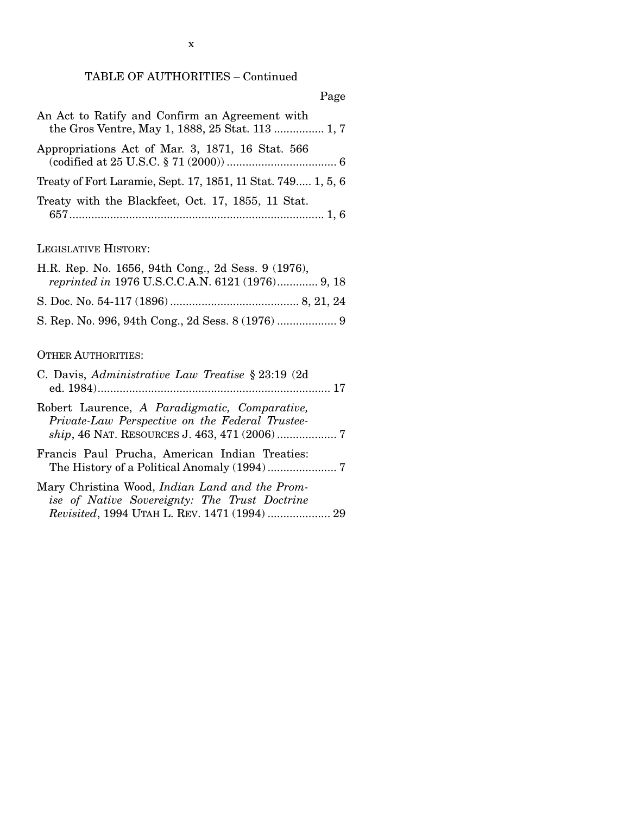### Page

| An Act to Ratify and Confirm an Agreement with<br>the Gros Ventre, May 1, 1888, 25 Stat. 113  1, 7 |
|----------------------------------------------------------------------------------------------------|
| Appropriations Act of Mar. 3, 1871, 16 Stat. 566                                                   |
| Treaty of Fort Laramie, Sept. 17, 1851, 11 Stat. 749 1, 5, 6                                       |
| Treaty with the Blackfeet, Oct. 17, 1855, 11 Stat.                                                 |

#### LEGISLATIVE HISTORY:

| H.R. Rep. No. 1656, 94th Cong., 2d Sess. 9 (1976), |  |
|----------------------------------------------------|--|
| reprinted in 1976 U.S.C.C.A.N. 6121 (1976) 9, 18   |  |
|                                                    |  |
|                                                    |  |

#### OTHER AUTHORITIES:

| C. Davis, Administrative Law Treatise § 23:19 (2d)                                               |  |
|--------------------------------------------------------------------------------------------------|--|
| Robert Laurence, A Paradigmatic, Comparative,<br>Private-Law Perspective on the Federal Trustee- |  |
|                                                                                                  |  |

- Francis Paul Prucha, American Indian Treaties: The History of a Political Anomaly (1994) ...................... 7
- Mary Christina Wood, *Indian Land and the Promise of Native Sovereignty: The Trust Doctrine Revisited*, 1994 UTAH L. REV. 1471 (1994) .................... 29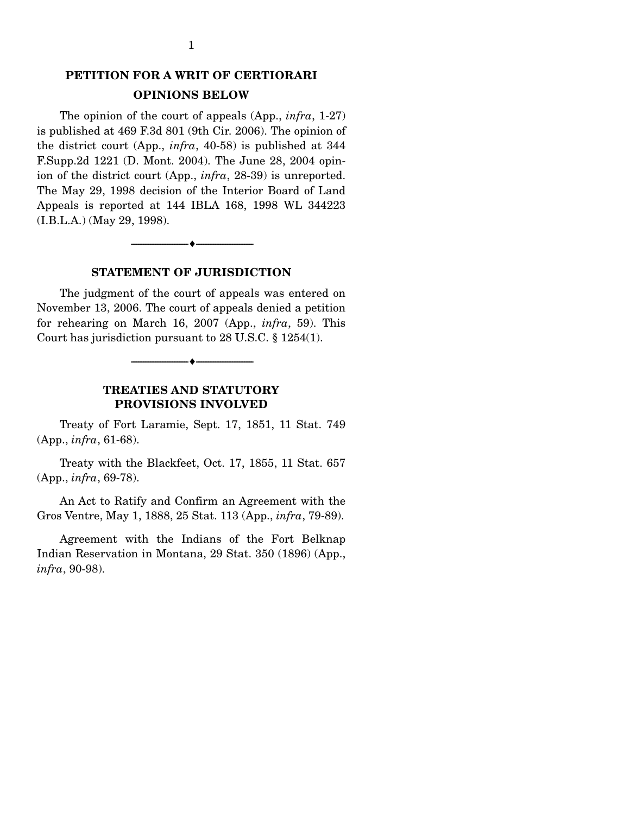# **PETITION FOR A WRIT OF CERTIORARI OPINIONS BELOW**

 The opinion of the court of appeals (App., *infra*, 1-27) is published at 469 F.3d 801 (9th Cir. 2006). The opinion of the district court (App., *infra*, 40-58) is published at 344 F.Supp.2d 1221 (D. Mont. 2004). The June 28, 2004 opinion of the district court (App., *infra*, 28-39) is unreported. The May 29, 1998 decision of the Interior Board of Land Appeals is reported at 144 IBLA 168, 1998 WL 344223 (I.B.L.A.) (May 29, 1998).

--------------------------------- ♦ ---------------------------------

### **STATEMENT OF JURISDICTION**

 The judgment of the court of appeals was entered on November 13, 2006. The court of appeals denied a petition for rehearing on March 16, 2007 (App., *infra*, 59). This Court has jurisdiction pursuant to 28 U.S.C. § 1254(1).



--------------------------------- ♦ ---------------------------------

 Treaty of Fort Laramie, Sept. 17, 1851, 11 Stat. 749 (App., *infra*, 61-68).

 Treaty with the Blackfeet, Oct. 17, 1855, 11 Stat. 657 (App., *infra*, 69-78).

 An Act to Ratify and Confirm an Agreement with the Gros Ventre, May 1, 1888, 25 Stat. 113 (App., *infra*, 79-89).

 Agreement with the Indians of the Fort Belknap Indian Reservation in Montana, 29 Stat. 350 (1896) (App., *infra*, 90-98).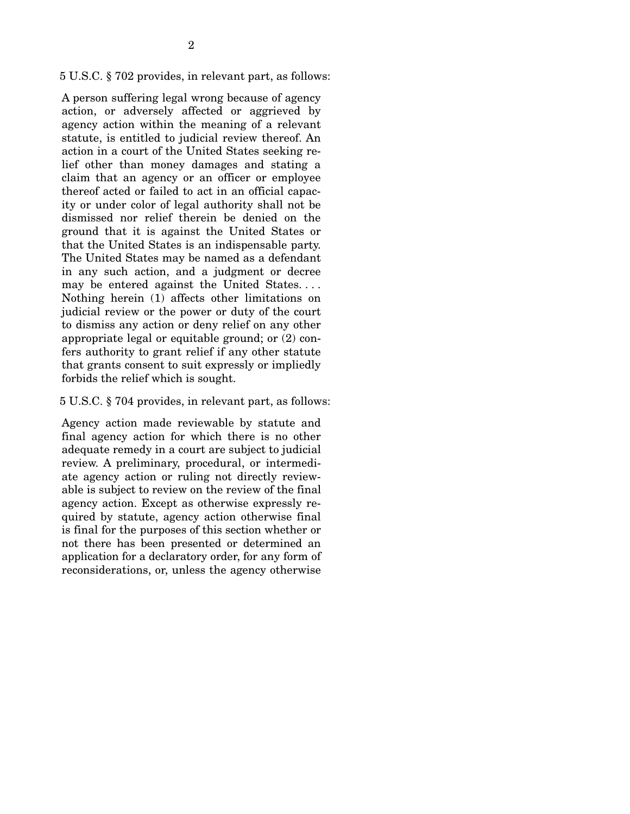5 U.S.C. § 702 provides, in relevant part, as follows:

A person suffering legal wrong because of agency action, or adversely affected or aggrieved by agency action within the meaning of a relevant statute, is entitled to judicial review thereof. An action in a court of the United States seeking relief other than money damages and stating a claim that an agency or an officer or employee thereof acted or failed to act in an official capacity or under color of legal authority shall not be dismissed nor relief therein be denied on the ground that it is against the United States or that the United States is an indispensable party. The United States may be named as a defendant in any such action, and a judgment or decree may be entered against the United States. . . . Nothing herein (1) affects other limitations on judicial review or the power or duty of the court to dismiss any action or deny relief on any other appropriate legal or equitable ground; or (2) confers authority to grant relief if any other statute that grants consent to suit expressly or impliedly forbids the relief which is sought.

#### 5 U.S.C. § 704 provides, in relevant part, as follows:

Agency action made reviewable by statute and final agency action for which there is no other adequate remedy in a court are subject to judicial review. A preliminary, procedural, or intermediate agency action or ruling not directly reviewable is subject to review on the review of the final agency action. Except as otherwise expressly required by statute, agency action otherwise final is final for the purposes of this section whether or not there has been presented or determined an application for a declaratory order, for any form of reconsiderations, or, unless the agency otherwise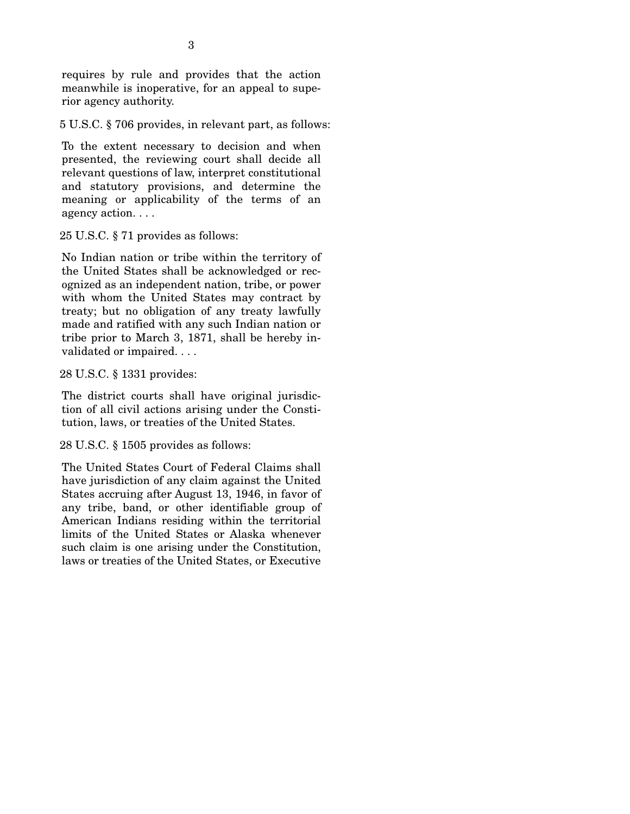requires by rule and provides that the action meanwhile is inoperative, for an appeal to superior agency authority.

5 U.S.C. § 706 provides, in relevant part, as follows:

To the extent necessary to decision and when presented, the reviewing court shall decide all relevant questions of law, interpret constitutional and statutory provisions, and determine the meaning or applicability of the terms of an agency action. . . .

25 U.S.C. § 71 provides as follows:

No Indian nation or tribe within the territory of the United States shall be acknowledged or recognized as an independent nation, tribe, or power with whom the United States may contract by treaty; but no obligation of any treaty lawfully made and ratified with any such Indian nation or tribe prior to March 3, 1871, shall be hereby invalidated or impaired. . . .

#### 28 U.S.C. § 1331 provides:

The district courts shall have original jurisdiction of all civil actions arising under the Constitution, laws, or treaties of the United States.

#### 28 U.S.C. § 1505 provides as follows:

The United States Court of Federal Claims shall have jurisdiction of any claim against the United States accruing after August 13, 1946, in favor of any tribe, band, or other identifiable group of American Indians residing within the territorial limits of the United States or Alaska whenever such claim is one arising under the Constitution, laws or treaties of the United States, or Executive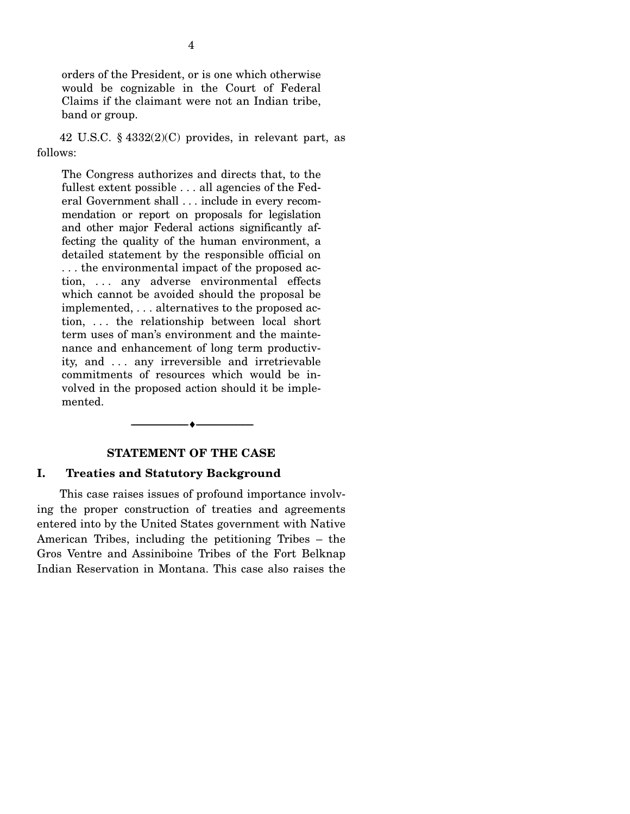orders of the President, or is one which otherwise would be cognizable in the Court of Federal Claims if the claimant were not an Indian tribe, band or group.

 42 U.S.C. § 4332(2)(C) provides, in relevant part, as follows:

The Congress authorizes and directs that, to the fullest extent possible . . . all agencies of the Federal Government shall . . . include in every recommendation or report on proposals for legislation and other major Federal actions significantly affecting the quality of the human environment, a detailed statement by the responsible official on . . . the environmental impact of the proposed action, ... any adverse environmental effects which cannot be avoided should the proposal be implemented, . . . alternatives to the proposed action, . . . the relationship between local short term uses of man's environment and the maintenance and enhancement of long term productivity, and . . . any irreversible and irretrievable commitments of resources which would be involved in the proposed action should it be implemented.

#### **STATEMENT OF THE CASE**

--------------------------------- ♦ ---------------------------------

#### **I. Treaties and Statutory Background**

 This case raises issues of profound importance involving the proper construction of treaties and agreements entered into by the United States government with Native American Tribes, including the petitioning Tribes – the Gros Ventre and Assiniboine Tribes of the Fort Belknap Indian Reservation in Montana. This case also raises the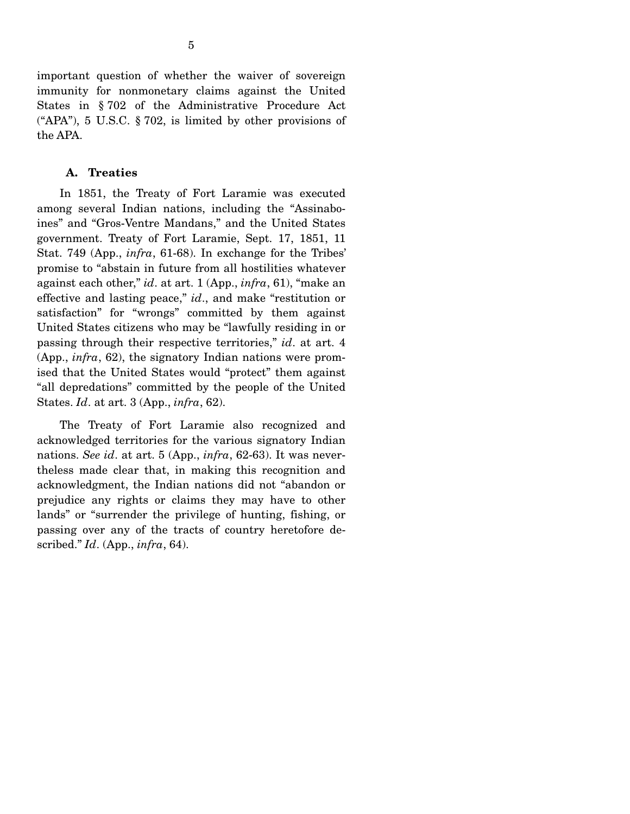important question of whether the waiver of sovereign immunity for nonmonetary claims against the United States in § 702 of the Administrative Procedure Act ("APA"), 5 U.S.C. § 702, is limited by other provisions of the APA.

#### **A. Treaties**

 In 1851, the Treaty of Fort Laramie was executed among several Indian nations, including the "Assinaboines" and "Gros-Ventre Mandans," and the United States government. Treaty of Fort Laramie, Sept. 17, 1851, 11 Stat. 749 (App., *infra*, 61-68). In exchange for the Tribes' promise to "abstain in future from all hostilities whatever against each other," *id*. at art. 1 (App., *infra*, 61), "make an effective and lasting peace," *id*., and make "restitution or satisfaction" for "wrongs" committed by them against United States citizens who may be "lawfully residing in or passing through their respective territories," *id*. at art. 4 (App., *infra*, 62), the signatory Indian nations were promised that the United States would "protect" them against "all depredations" committed by the people of the United States. *Id*. at art. 3 (App., *infra*, 62).

 The Treaty of Fort Laramie also recognized and acknowledged territories for the various signatory Indian nations. *See id*. at art. 5 (App., *infra*, 62-63). It was nevertheless made clear that, in making this recognition and acknowledgment, the Indian nations did not "abandon or prejudice any rights or claims they may have to other lands" or "surrender the privilege of hunting, fishing, or passing over any of the tracts of country heretofore described." *Id*. (App., *infra*, 64).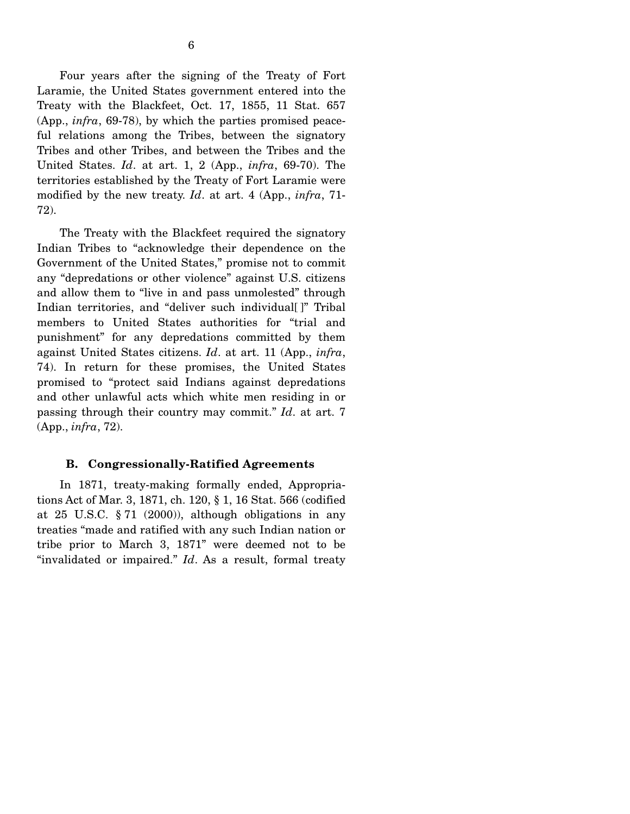Four years after the signing of the Treaty of Fort Laramie, the United States government entered into the Treaty with the Blackfeet, Oct. 17, 1855, 11 Stat. 657 (App., *infra*, 69-78), by which the parties promised peaceful relations among the Tribes, between the signatory Tribes and other Tribes, and between the Tribes and the United States. *Id*. at art. 1, 2 (App., *infra*, 69-70). The territories established by the Treaty of Fort Laramie were modified by the new treaty. *Id*. at art. 4 (App., *infra*, 71- 72).

 The Treaty with the Blackfeet required the signatory Indian Tribes to "acknowledge their dependence on the Government of the United States," promise not to commit any "depredations or other violence" against U.S. citizens and allow them to "live in and pass unmolested" through Indian territories, and "deliver such individual |" Tribal members to United States authorities for "trial and punishment" for any depredations committed by them against United States citizens. *Id*. at art. 11 (App., *infra*, 74). In return for these promises, the United States promised to "protect said Indians against depredations and other unlawful acts which white men residing in or passing through their country may commit." *Id*. at art. 7 (App., *infra*, 72).

#### **B. Congressionally-Ratified Agreements**

 In 1871, treaty-making formally ended, Appropriations Act of Mar. 3, 1871, ch. 120, § 1, 16 Stat. 566 (codified at 25 U.S.C. § 71 (2000)), although obligations in any treaties "made and ratified with any such Indian nation or tribe prior to March 3, 1871" were deemed not to be "invalidated or impaired." *Id*. As a result, formal treaty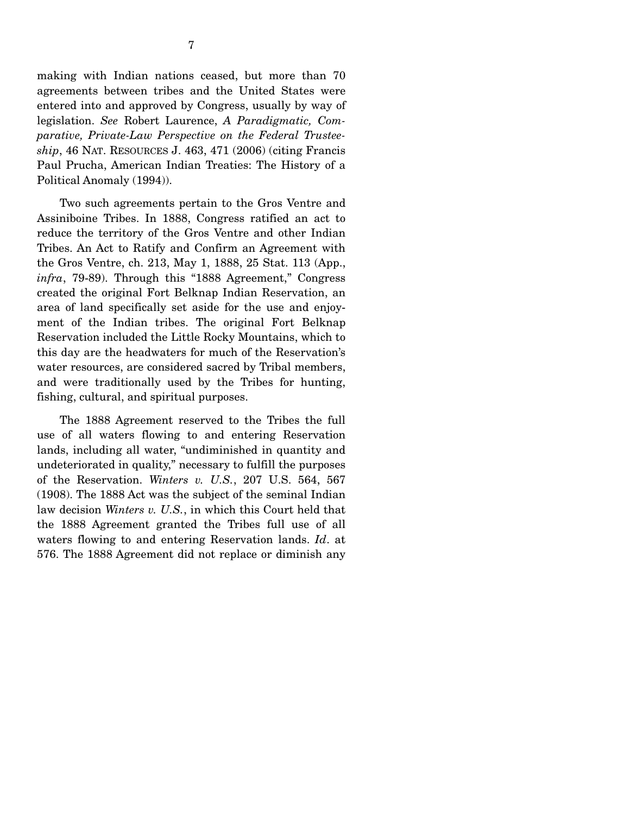making with Indian nations ceased, but more than 70 agreements between tribes and the United States were entered into and approved by Congress, usually by way of legislation. *See* Robert Laurence, *A Paradigmatic, Comparative, Private-Law Perspective on the Federal Trusteeship*, 46 NAT. RESOURCES J. 463, 471 (2006) (citing Francis Paul Prucha, American Indian Treaties: The History of a Political Anomaly (1994)).

 Two such agreements pertain to the Gros Ventre and Assiniboine Tribes. In 1888, Congress ratified an act to reduce the territory of the Gros Ventre and other Indian Tribes. An Act to Ratify and Confirm an Agreement with the Gros Ventre, ch. 213, May 1, 1888, 25 Stat. 113 (App., *infra*, 79-89). Through this "1888 Agreement," Congress created the original Fort Belknap Indian Reservation, an area of land specifically set aside for the use and enjoyment of the Indian tribes. The original Fort Belknap Reservation included the Little Rocky Mountains, which to this day are the headwaters for much of the Reservation's water resources, are considered sacred by Tribal members, and were traditionally used by the Tribes for hunting, fishing, cultural, and spiritual purposes.

 The 1888 Agreement reserved to the Tribes the full use of all waters flowing to and entering Reservation lands, including all water, "undiminished in quantity and undeteriorated in quality," necessary to fulfill the purposes of the Reservation. *Winters v. U.S.*, 207 U.S. 564, 567 (1908). The 1888 Act was the subject of the seminal Indian law decision *Winters v. U.S.*, in which this Court held that the 1888 Agreement granted the Tribes full use of all waters flowing to and entering Reservation lands. *Id*. at 576. The 1888 Agreement did not replace or diminish any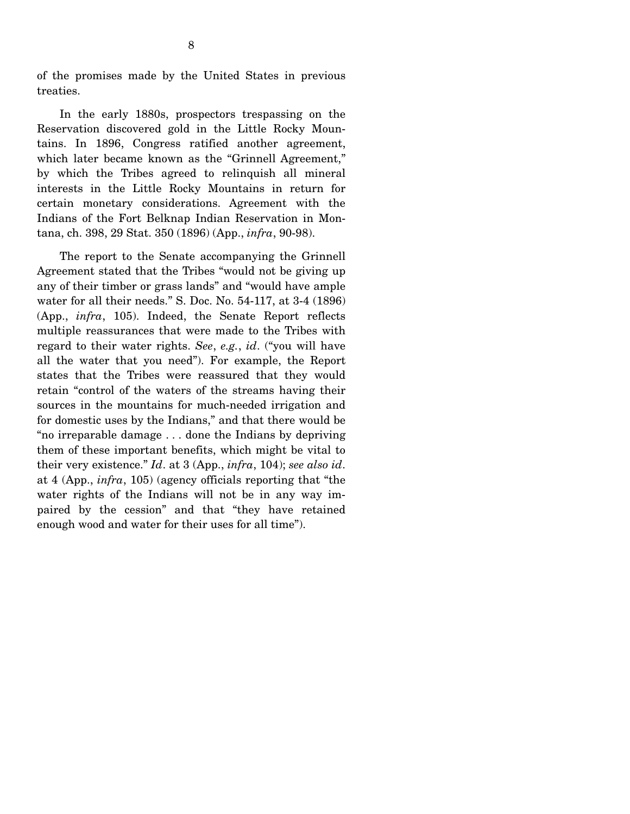of the promises made by the United States in previous treaties.

 In the early 1880s, prospectors trespassing on the Reservation discovered gold in the Little Rocky Mountains. In 1896, Congress ratified another agreement, which later became known as the "Grinnell Agreement," by which the Tribes agreed to relinquish all mineral interests in the Little Rocky Mountains in return for certain monetary considerations. Agreement with the Indians of the Fort Belknap Indian Reservation in Montana, ch. 398, 29 Stat. 350 (1896) (App., *infra*, 90-98).

 The report to the Senate accompanying the Grinnell Agreement stated that the Tribes "would not be giving up any of their timber or grass lands" and "would have ample water for all their needs." S. Doc. No. 54-117, at 3-4 (1896) (App., *infra*, 105). Indeed, the Senate Report reflects multiple reassurances that were made to the Tribes with regard to their water rights. *See*, *e.g.*, *id*. ("you will have all the water that you need"). For example, the Report states that the Tribes were reassured that they would retain "control of the waters of the streams having their sources in the mountains for much-needed irrigation and for domestic uses by the Indians," and that there would be "no irreparable damage . . . done the Indians by depriving them of these important benefits, which might be vital to their very existence." *Id*. at 3 (App., *infra*, 104); *see also id*. at 4 (App., *infra*, 105) (agency officials reporting that "the water rights of the Indians will not be in any way impaired by the cession" and that "they have retained enough wood and water for their uses for all time").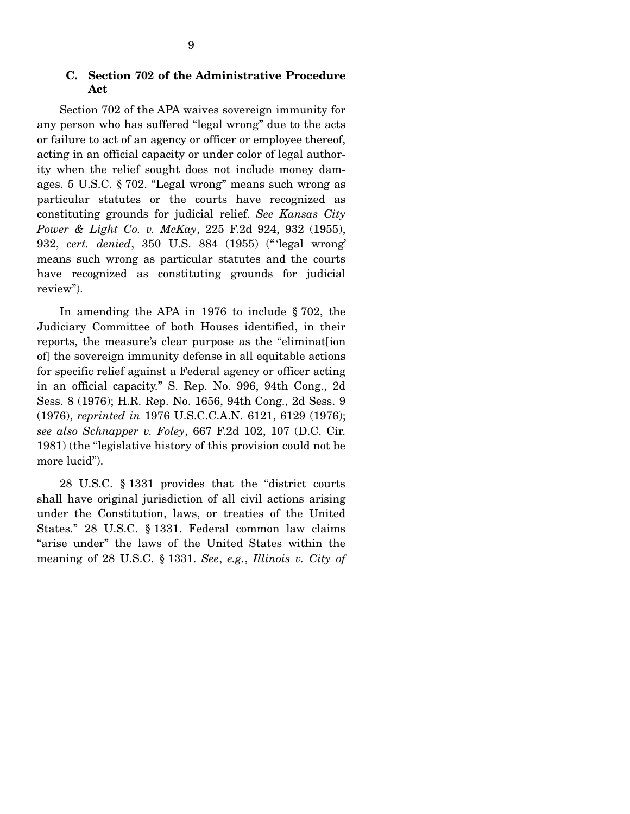#### **C. Section 702 of the Administrative Procedure Act**

 Section 702 of the APA waives sovereign immunity for any person who has suffered "legal wrong" due to the acts or failure to act of an agency or officer or employee thereof, acting in an official capacity or under color of legal authority when the relief sought does not include money damages. 5 U.S.C. § 702. "Legal wrong" means such wrong as particular statutes or the courts have recognized as constituting grounds for judicial relief. *See Kansas City Power & Light Co. v. McKay*, 225 F.2d 924, 932 (1955), 932, *cert. denied*, 350 U.S. 884 (1955) (" 'legal wrong' means such wrong as particular statutes and the courts have recognized as constituting grounds for judicial review").

 In amending the APA in 1976 to include § 702, the Judiciary Committee of both Houses identified, in their reports, the measure's clear purpose as the "eliminat[ion of] the sovereign immunity defense in all equitable actions for specific relief against a Federal agency or officer acting in an official capacity." S. Rep. No. 996, 94th Cong., 2d Sess. 8 (1976); H.R. Rep. No. 1656, 94th Cong., 2d Sess. 9 (1976), *reprinted in* 1976 U.S.C.C.A.N. 6121, 6129 (1976); *see also Schnapper v. Foley*, 667 F.2d 102, 107 (D.C. Cir. 1981) (the "legislative history of this provision could not be more lucid").

 28 U.S.C. § 1331 provides that the "district courts shall have original jurisdiction of all civil actions arising under the Constitution, laws, or treaties of the United States." 28 U.S.C. § 1331. Federal common law claims "arise under" the laws of the United States within the meaning of 28 U.S.C. § 1331. *See*, *e.g.*, *Illinois v. City of*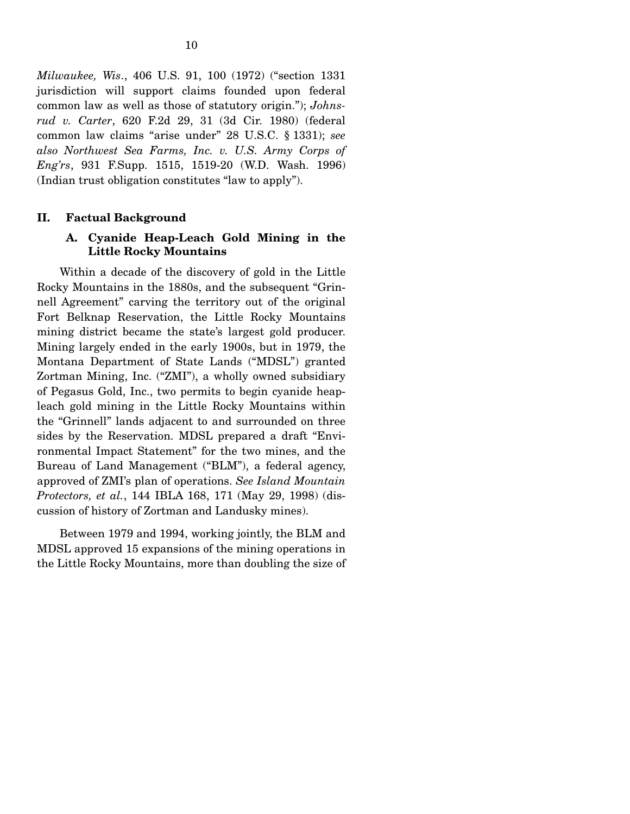*Milwaukee, Wis*., 406 U.S. 91, 100 (1972) ("section 1331 jurisdiction will support claims founded upon federal common law as well as those of statutory origin."); *Johnsrud v. Carter*, 620 F.2d 29, 31 (3d Cir. 1980) (federal common law claims "arise under" 28 U.S.C. § 1331); *see also Northwest Sea Farms, Inc. v. U.S. Army Corps of Eng'rs*, 931 F.Supp. 1515, 1519-20 (W.D. Wash. 1996) (Indian trust obligation constitutes "law to apply").

#### **II. Factual Background**

#### **A. Cyanide Heap-Leach Gold Mining in the Little Rocky Mountains**

 Within a decade of the discovery of gold in the Little Rocky Mountains in the 1880s, and the subsequent "Grinnell Agreement" carving the territory out of the original Fort Belknap Reservation, the Little Rocky Mountains mining district became the state's largest gold producer. Mining largely ended in the early 1900s, but in 1979, the Montana Department of State Lands ("MDSL") granted Zortman Mining, Inc. ("ZMI"), a wholly owned subsidiary of Pegasus Gold, Inc., two permits to begin cyanide heapleach gold mining in the Little Rocky Mountains within the "Grinnell" lands adjacent to and surrounded on three sides by the Reservation. MDSL prepared a draft "Environmental Impact Statement" for the two mines, and the Bureau of Land Management ("BLM"), a federal agency, approved of ZMI's plan of operations. *See Island Mountain Protectors, et al.*, 144 IBLA 168, 171 (May 29, 1998) (discussion of history of Zortman and Landusky mines).

 Between 1979 and 1994, working jointly, the BLM and MDSL approved 15 expansions of the mining operations in the Little Rocky Mountains, more than doubling the size of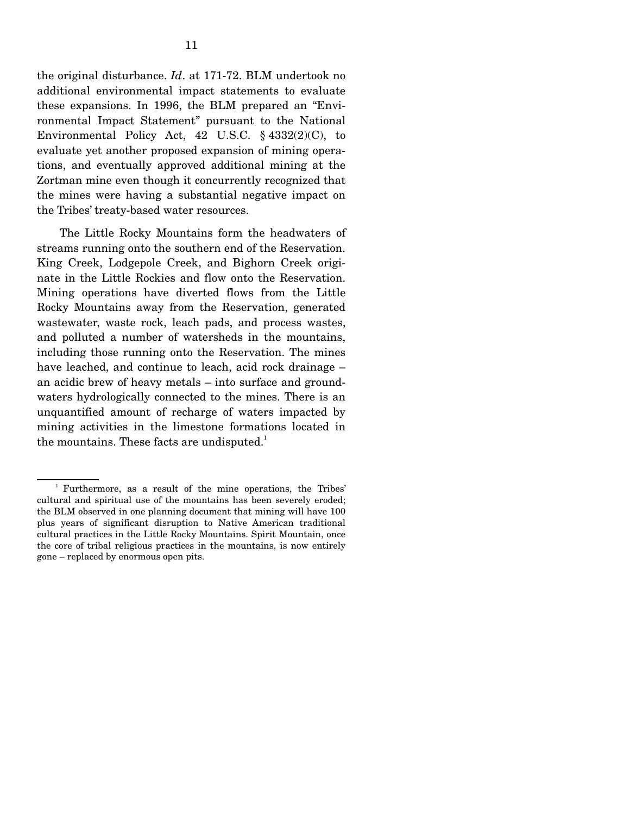the original disturbance. *Id*. at 171-72. BLM undertook no additional environmental impact statements to evaluate these expansions. In 1996, the BLM prepared an "Environmental Impact Statement" pursuant to the National Environmental Policy Act, 42 U.S.C. § 4332(2)(C), to evaluate yet another proposed expansion of mining operations, and eventually approved additional mining at the Zortman mine even though it concurrently recognized that the mines were having a substantial negative impact on the Tribes' treaty-based water resources.

 The Little Rocky Mountains form the headwaters of streams running onto the southern end of the Reservation. King Creek, Lodgepole Creek, and Bighorn Creek originate in the Little Rockies and flow onto the Reservation. Mining operations have diverted flows from the Little Rocky Mountains away from the Reservation, generated wastewater, waste rock, leach pads, and process wastes, and polluted a number of watersheds in the mountains, including those running onto the Reservation. The mines have leached, and continue to leach, acid rock drainage – an acidic brew of heavy metals – into surface and groundwaters hydrologically connected to the mines. There is an unquantified amount of recharge of waters impacted by mining activities in the limestone formations located in the mountains. These facts are undisputed.<sup>1</sup>

 $\frac{1}{2}$  Furthermore, as a result of the mine operations, the Tribes' cultural and spiritual use of the mountains has been severely eroded; the BLM observed in one planning document that mining will have 100 plus years of significant disruption to Native American traditional cultural practices in the Little Rocky Mountains. Spirit Mountain, once the core of tribal religious practices in the mountains, is now entirely gone – replaced by enormous open pits.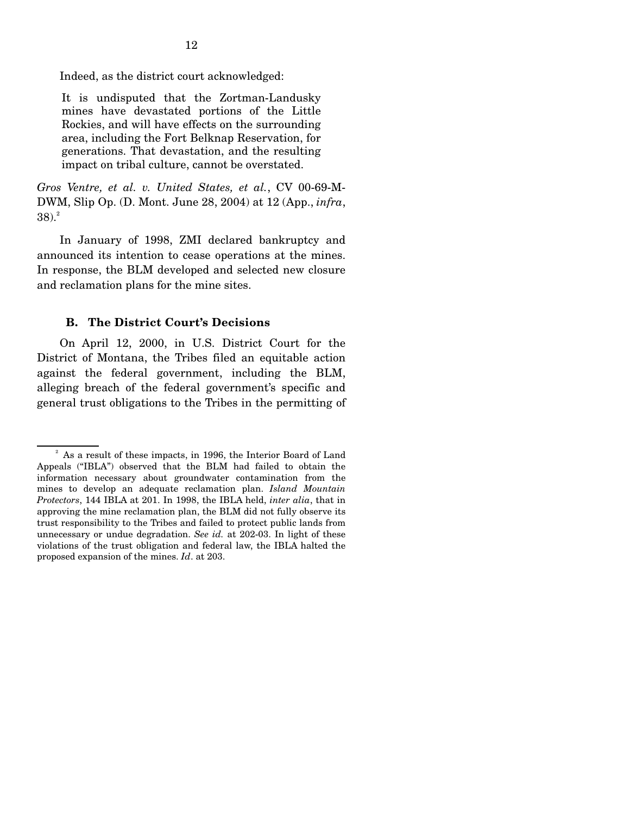Indeed, as the district court acknowledged:

It is undisputed that the Zortman-Landusky mines have devastated portions of the Little Rockies, and will have effects on the surrounding area, including the Fort Belknap Reservation, for generations. That devastation, and the resulting impact on tribal culture, cannot be overstated.

*Gros Ventre, et al. v. United States, et al.*, CV 00-69-M-DWM, Slip Op. (D. Mont. June 28, 2004) at 12 (App., *infra*,  $38)$ <sup>2</sup>

 In January of 1998, ZMI declared bankruptcy and announced its intention to cease operations at the mines. In response, the BLM developed and selected new closure and reclamation plans for the mine sites.

#### **B. The District Court's Decisions**

 On April 12, 2000, in U.S. District Court for the District of Montana, the Tribes filed an equitable action against the federal government, including the BLM, alleging breach of the federal government's specific and general trust obligations to the Tribes in the permitting of

<sup>2</sup> As a result of these impacts, in 1996, the Interior Board of Land Appeals ("IBLA") observed that the BLM had failed to obtain the information necessary about groundwater contamination from the mines to develop an adequate reclamation plan. *Island Mountain Protectors*, 144 IBLA at 201. In 1998, the IBLA held, *inter alia*, that in approving the mine reclamation plan, the BLM did not fully observe its trust responsibility to the Tribes and failed to protect public lands from unnecessary or undue degradation. *See id.* at 202-03. In light of these violations of the trust obligation and federal law, the IBLA halted the proposed expansion of the mines. *Id*. at 203.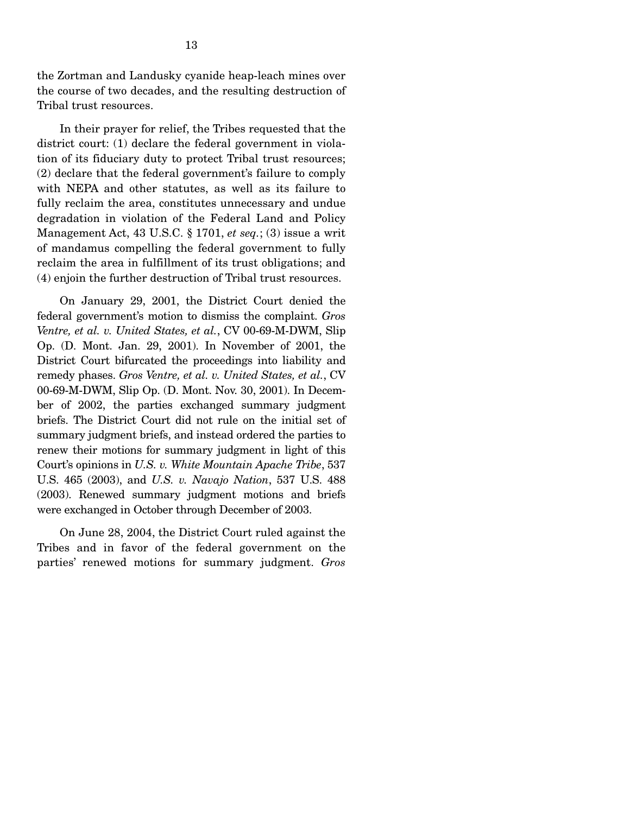the Zortman and Landusky cyanide heap-leach mines over the course of two decades, and the resulting destruction of Tribal trust resources.

 In their prayer for relief, the Tribes requested that the district court: (1) declare the federal government in violation of its fiduciary duty to protect Tribal trust resources; (2) declare that the federal government's failure to comply with NEPA and other statutes, as well as its failure to fully reclaim the area, constitutes unnecessary and undue degradation in violation of the Federal Land and Policy Management Act, 43 U.S.C. § 1701, *et seq.*; (3) issue a writ of mandamus compelling the federal government to fully reclaim the area in fulfillment of its trust obligations; and (4) enjoin the further destruction of Tribal trust resources.

 On January 29, 2001, the District Court denied the federal government's motion to dismiss the complaint. *Gros Ventre, et al. v. United States, et al.*, CV 00-69-M-DWM, Slip Op. (D. Mont. Jan. 29, 2001). In November of 2001, the District Court bifurcated the proceedings into liability and remedy phases. *Gros Ventre, et al. v. United States, et al.*, CV 00-69-M-DWM, Slip Op. (D. Mont. Nov. 30, 2001). In December of 2002, the parties exchanged summary judgment briefs. The District Court did not rule on the initial set of summary judgment briefs, and instead ordered the parties to renew their motions for summary judgment in light of this Court's opinions in *U.S. v. White Mountain Apache Tribe*, 537 U.S. 465 (2003), and *U.S. v. Navajo Nation*, 537 U.S. 488 (2003). Renewed summary judgment motions and briefs were exchanged in October through December of 2003.

 On June 28, 2004, the District Court ruled against the Tribes and in favor of the federal government on the parties' renewed motions for summary judgment. *Gros*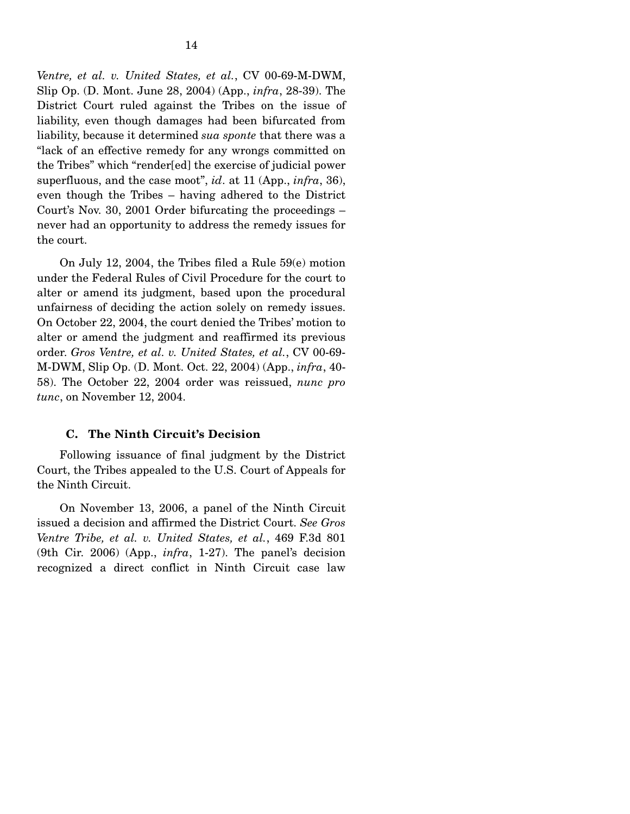*Ventre, et al. v. United States, et al.*, CV 00-69-M-DWM, Slip Op. (D. Mont. June 28, 2004) (App., *infra*, 28-39). The District Court ruled against the Tribes on the issue of liability, even though damages had been bifurcated from liability, because it determined *sua sponte* that there was a "lack of an effective remedy for any wrongs committed on the Tribes" which "render[ed] the exercise of judicial power superfluous, and the case moot", *id*. at 11 (App., *infra*, 36), even though the Tribes – having adhered to the District Court's Nov. 30, 2001 Order bifurcating the proceedings – never had an opportunity to address the remedy issues for the court.

 On July 12, 2004, the Tribes filed a Rule 59(e) motion under the Federal Rules of Civil Procedure for the court to alter or amend its judgment, based upon the procedural unfairness of deciding the action solely on remedy issues. On October 22, 2004, the court denied the Tribes' motion to alter or amend the judgment and reaffirmed its previous order. *Gros Ventre, et al. v. United States, et al.*, CV 00-69- M-DWM, Slip Op. (D. Mont. Oct. 22, 2004) (App., *infra*, 40- 58). The October 22, 2004 order was reissued, *nunc pro tunc*, on November 12, 2004.

#### **C. The Ninth Circuit's Decision**

 Following issuance of final judgment by the District Court, the Tribes appealed to the U.S. Court of Appeals for the Ninth Circuit.

 On November 13, 2006, a panel of the Ninth Circuit issued a decision and affirmed the District Court. *See Gros Ventre Tribe, et al. v. United States, et al.*, 469 F.3d 801 (9th Cir. 2006) (App., *infra*, 1-27). The panel's decision recognized a direct conflict in Ninth Circuit case law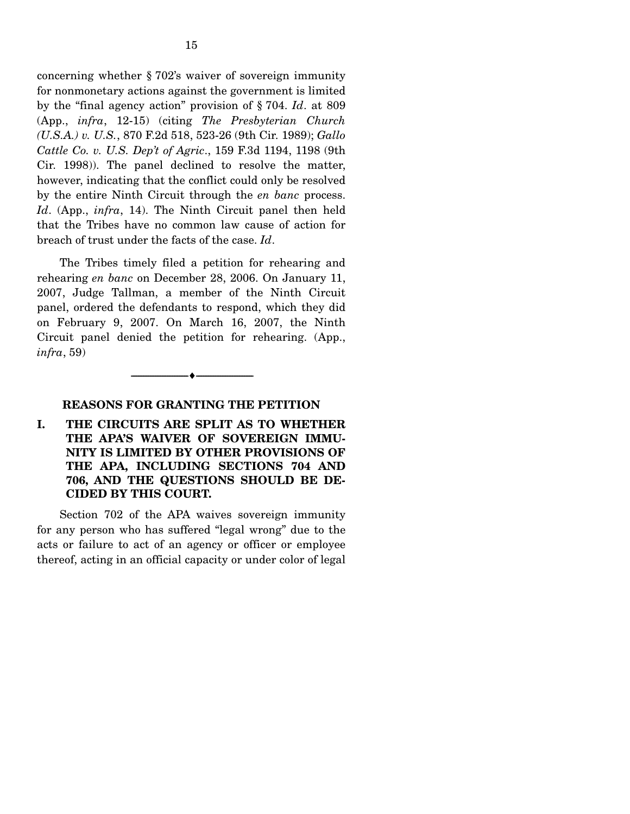concerning whether § 702's waiver of sovereign immunity for nonmonetary actions against the government is limited by the "final agency action" provision of § 704. *Id*. at 809 (App., *infra*, 12-15) (citing *The Presbyterian Church (U.S.A.) v. U.S.*, 870 F.2d 518, 523-26 (9th Cir. 1989); *Gallo Cattle Co. v. U.S. Dep't of Agric*., 159 F.3d 1194, 1198 (9th Cir. 1998)). The panel declined to resolve the matter, however, indicating that the conflict could only be resolved by the entire Ninth Circuit through the *en banc* process. *Id*. (App., *infra*, 14). The Ninth Circuit panel then held that the Tribes have no common law cause of action for breach of trust under the facts of the case. *Id*.

 The Tribes timely filed a petition for rehearing and rehearing *en banc* on December 28, 2006. On January 11, 2007, Judge Tallman, a member of the Ninth Circuit panel, ordered the defendants to respond, which they did on February 9, 2007. On March 16, 2007, the Ninth Circuit panel denied the petition for rehearing. (App., *infra*, 59)

## **REASONS FOR GRANTING THE PETITION**

--------------------------------- ♦ ---------------------------------

**I. THE CIRCUITS ARE SPLIT AS TO WHETHER THE APA'S WAIVER OF SOVEREIGN IMMU-NITY IS LIMITED BY OTHER PROVISIONS OF THE APA, INCLUDING SECTIONS 704 AND 706, AND THE QUESTIONS SHOULD BE DE-CIDED BY THIS COURT.** 

 Section 702 of the APA waives sovereign immunity for any person who has suffered "legal wrong" due to the acts or failure to act of an agency or officer or employee thereof, acting in an official capacity or under color of legal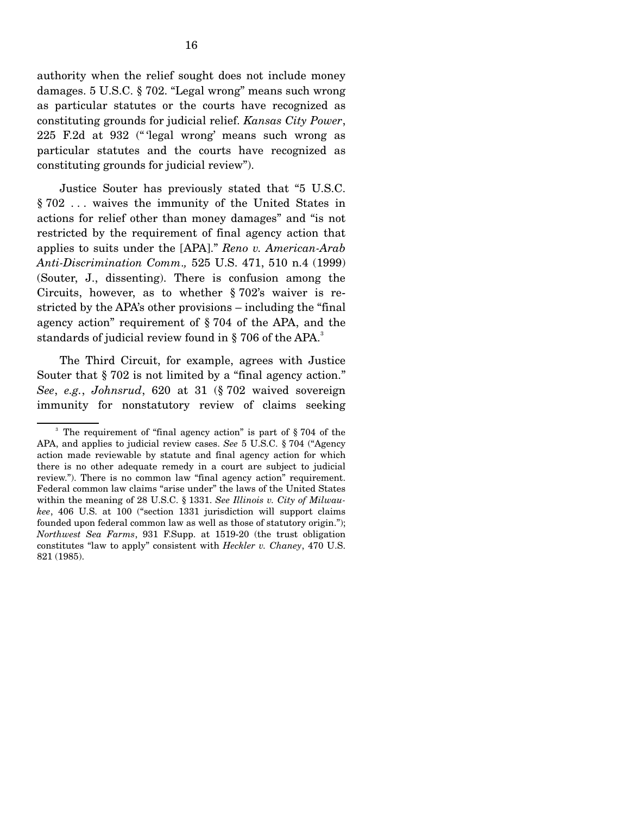authority when the relief sought does not include money damages. 5 U.S.C. § 702. "Legal wrong" means such wrong as particular statutes or the courts have recognized as constituting grounds for judicial relief. *Kansas City Power*, 225 F.2d at 932 (" 'legal wrong' means such wrong as particular statutes and the courts have recognized as constituting grounds for judicial review").

 Justice Souter has previously stated that "5 U.S.C. §702 ... waives the immunity of the United States in actions for relief other than money damages" and "is not restricted by the requirement of final agency action that applies to suits under the [APA]." *Reno v. American-Arab Anti-Discrimination Comm*.*,* 525 U.S. 471, 510 n.4 (1999) (Souter, J., dissenting). There is confusion among the Circuits, however, as to whether § 702's waiver is restricted by the APA's other provisions – including the "final agency action" requirement of § 704 of the APA, and the standards of judicial review found in  $\S 706$  of the APA.<sup>3</sup>

 The Third Circuit, for example, agrees with Justice Souter that  $\S 702$  is not limited by a "final agency action." *See*, *e.g.*, *Johnsrud*, 620 at 31 (§ 702 waived sovereign immunity for nonstatutory review of claims seeking

<sup>&</sup>lt;sup>3</sup> The requirement of "final agency action" is part of §704 of the APA, and applies to judicial review cases. *See* 5 U.S.C. § 704 ("Agency action made reviewable by statute and final agency action for which there is no other adequate remedy in a court are subject to judicial review."). There is no common law "final agency action" requirement. Federal common law claims "arise under" the laws of the United States within the meaning of 28 U.S.C. § 1331. *See Illinois v. City of Milwaukee*, 406 U.S. at 100 ("section 1331 jurisdiction will support claims founded upon federal common law as well as those of statutory origin."); *Northwest Sea Farms*, 931 F.Supp. at 1519-20 (the trust obligation constitutes "law to apply" consistent with *Heckler v. Chaney*, 470 U.S. 821 (1985).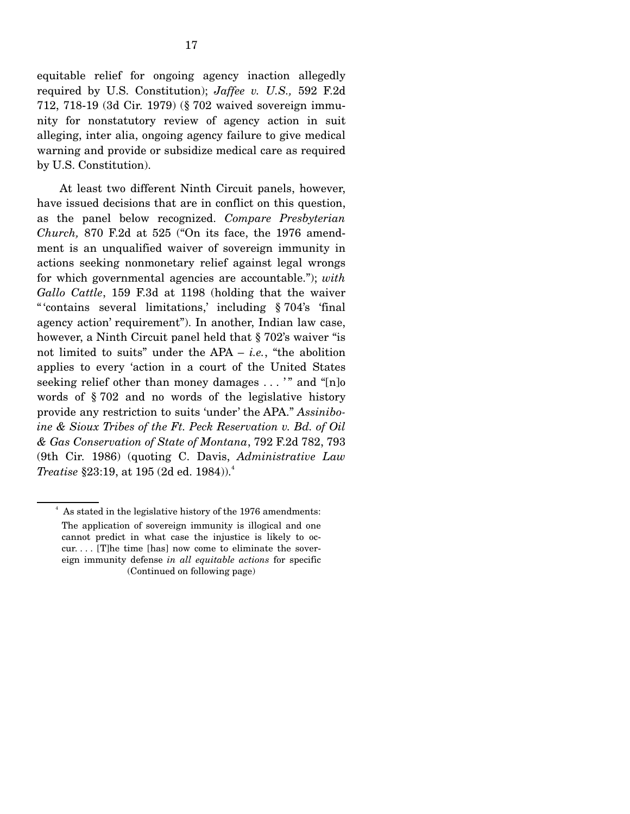equitable relief for ongoing agency inaction allegedly required by U.S. Constitution); *Jaffee v. U.S.,* 592 F.2d 712, 718-19 (3d Cir. 1979) (§ 702 waived sovereign immunity for nonstatutory review of agency action in suit alleging, inter alia, ongoing agency failure to give medical warning and provide or subsidize medical care as required by U.S. Constitution).

 At least two different Ninth Circuit panels, however, have issued decisions that are in conflict on this question, as the panel below recognized. *Compare Presbyterian Church,* 870 F.2d at 525 ("On its face, the 1976 amendment is an unqualified waiver of sovereign immunity in actions seeking nonmonetary relief against legal wrongs for which governmental agencies are accountable."); *with Gallo Cattle*, 159 F.3d at 1198 (holding that the waiver " 'contains several limitations,' including § 704's 'final agency action' requirement"). In another, Indian law case, however, a Ninth Circuit panel held that § 702's waiver "is not limited to suits" under the APA – *i.e.*, "the abolition applies to every 'action in a court of the United States seeking relief other than money damages . . . "" and "[n]o words of § 702 and no words of the legislative history provide any restriction to suits 'under' the APA." *Assiniboine & Sioux Tribes of the Ft. Peck Reservation v. Bd. of Oil & Gas Conservation of State of Montana*, 792 F.2d 782, 793 (9th Cir. 1986) (quoting C. Davis, *Administrative Law Treatise* §23:19, at 195 (2d ed. 1984)).<sup>4</sup>

<sup>&</sup>lt;sup>4</sup> As stated in the legislative history of the 1976 amendments: The application of sovereign immunity is illogical and one cannot predict in what case the injustice is likely to occur. . . . [T]he time [has] now come to eliminate the sovereign immunity defense *in all equitable actions* for specific (Continued on following page)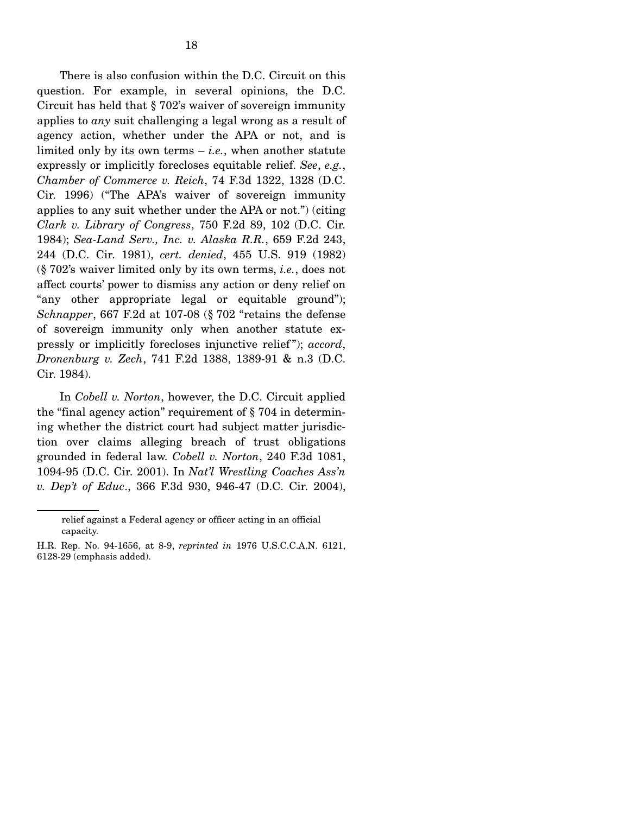There is also confusion within the D.C. Circuit on this question. For example, in several opinions, the D.C. Circuit has held that § 702's waiver of sovereign immunity applies to *any* suit challenging a legal wrong as a result of agency action, whether under the APA or not, and is limited only by its own terms – *i.e.*, when another statute expressly or implicitly forecloses equitable relief. *See*, *e.g.*, *Chamber of Commerce v. Reich*, 74 F.3d 1322, 1328 (D.C. Cir. 1996) ("The APA's waiver of sovereign immunity applies to any suit whether under the APA or not.") (citing *Clark v. Library of Congress*, 750 F.2d 89, 102 (D.C. Cir. 1984); *Sea-Land Serv., Inc. v. Alaska R.R.*, 659 F.2d 243, 244 (D.C. Cir. 1981), *cert. denied*, 455 U.S. 919 (1982) (§ 702's waiver limited only by its own terms, *i.e.*, does not affect courts' power to dismiss any action or deny relief on "any other appropriate legal or equitable ground"); *Schnapper*, 667 F.2d at 107-08 (§ 702 "retains the defense of sovereign immunity only when another statute expressly or implicitly forecloses injunctive relief "); *accord*, *Dronenburg v. Zech*, 741 F.2d 1388, 1389-91 & n.3 (D.C. Cir. 1984).

 In *Cobell v. Norton*, however, the D.C. Circuit applied the "final agency action" requirement of § 704 in determining whether the district court had subject matter jurisdiction over claims alleging breach of trust obligations grounded in federal law. *Cobell v. Norton*, 240 F.3d 1081, 1094-95 (D.C. Cir. 2001). In *Nat'l Wrestling Coaches Ass'n v. Dep't of Educ*., 366 F.3d 930, 946-47 (D.C. Cir. 2004),

relief against a Federal agency or officer acting in an official capacity.

H.R. Rep. No. 94-1656, at 8-9, *reprinted in* 1976 U.S.C.C.A.N. 6121, 6128-29 (emphasis added).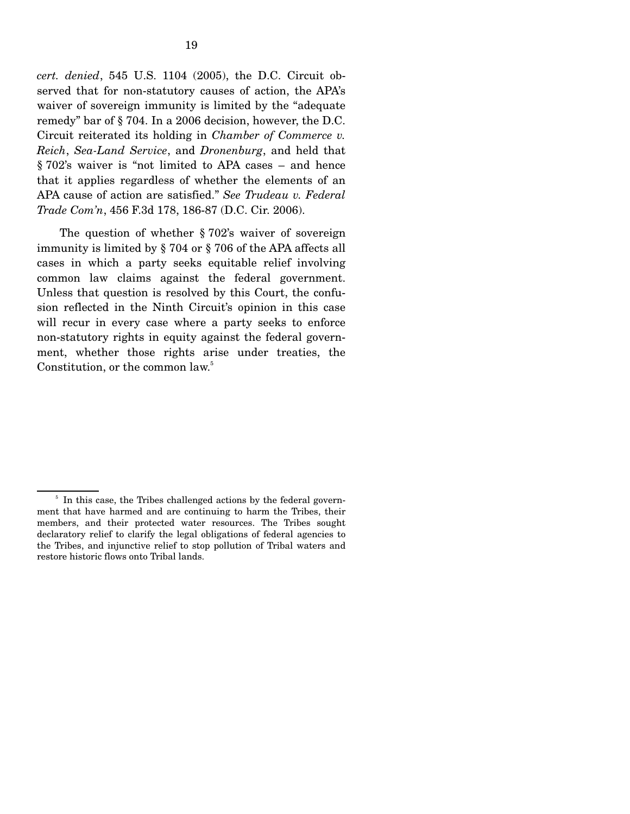*Reich*, *Sea-Land Service*, and *Dronenburg*, and held that § 702's waiver is "not limited to APA cases – and hence that it applies regardless of whether the elements of an APA cause of action are satisfied." *See Trudeau v. Federal Trade Com'n*, 456 F.3d 178, 186-87 (D.C. Cir. 2006).

 The question of whether § 702's waiver of sovereign immunity is limited by § 704 or § 706 of the APA affects all cases in which a party seeks equitable relief involving common law claims against the federal government. Unless that question is resolved by this Court, the confusion reflected in the Ninth Circuit's opinion in this case will recur in every case where a party seeks to enforce non-statutory rights in equity against the federal government, whether those rights arise under treaties, the Constitution, or the common law.<sup>5</sup>

<sup>&</sup>lt;sup>5</sup> In this case, the Tribes challenged actions by the federal government that have harmed and are continuing to harm the Tribes, their members, and their protected water resources. The Tribes sought declaratory relief to clarify the legal obligations of federal agencies to the Tribes, and injunctive relief to stop pollution of Tribal waters and restore historic flows onto Tribal lands.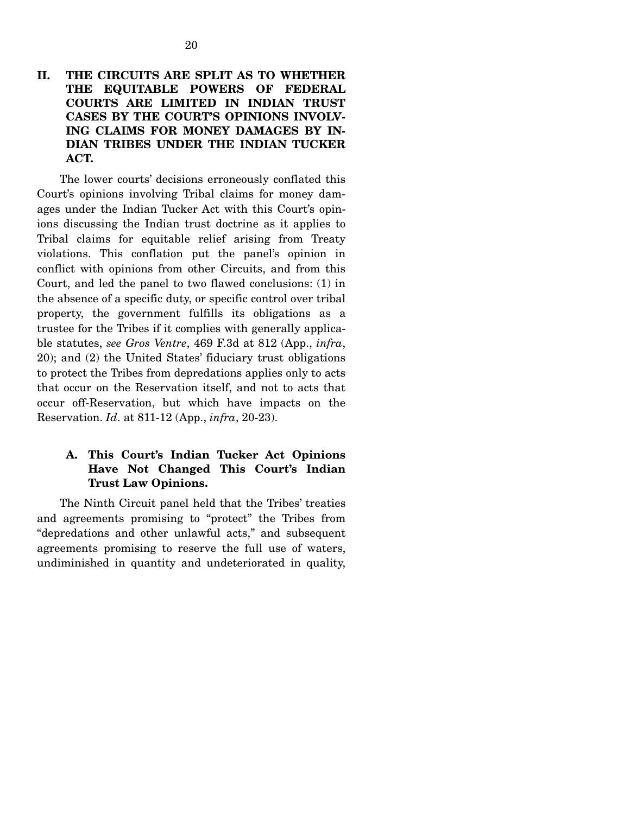### **II. THE CIRCUITS ARE SPLIT AS TO WHETHER THE EQUITABLE POWERS OF FEDERAL COURTS ARE LIMITED IN INDIAN TRUST CASES BY THE COURT'S OPINIONS INVOLV-ING CLAIMS FOR MONEY DAMAGES BY IN-DIAN TRIBES UNDER THE INDIAN TUCKER ACT.**

 The lower courts' decisions erroneously conflated this Court's opinions involving Tribal claims for money damages under the Indian Tucker Act with this Court's opinions discussing the Indian trust doctrine as it applies to Tribal claims for equitable relief arising from Treaty violations. This conflation put the panel's opinion in conflict with opinions from other Circuits, and from this Court, and led the panel to two flawed conclusions: (1) in the absence of a specific duty, or specific control over tribal property, the government fulfills its obligations as a trustee for the Tribes if it complies with generally applicable statutes, *see Gros Ventre*, 469 F.3d at 812 (App., *infra*, 20); and (2) the United States' fiduciary trust obligations to protect the Tribes from depredations applies only to acts that occur on the Reservation itself, and not to acts that occur off-Reservation, but which have impacts on the Reservation. *Id*. at 811-12 (App., *infra*, 20-23).

### **A. This Court's Indian Tucker Act Opinions Have Not Changed This Court's Indian Trust Law Opinions.**

 The Ninth Circuit panel held that the Tribes' treaties and agreements promising to "protect" the Tribes from "depredations and other unlawful acts," and subsequent agreements promising to reserve the full use of waters, undiminished in quantity and undeteriorated in quality,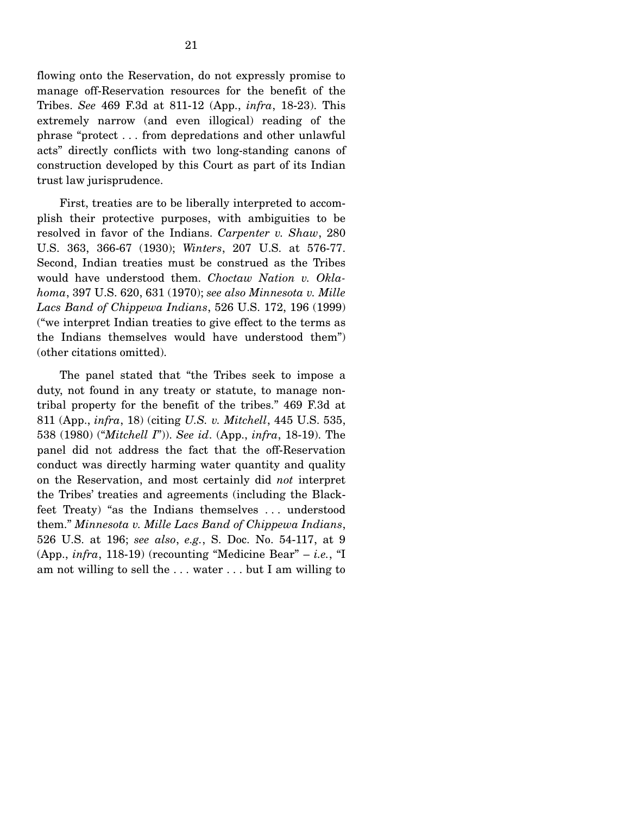flowing onto the Reservation, do not expressly promise to manage off-Reservation resources for the benefit of the Tribes. *See* 469 F.3d at 811-12 (App., *infra*, 18-23). This extremely narrow (and even illogical) reading of the phrase "protect . . . from depredations and other unlawful acts" directly conflicts with two long-standing canons of construction developed by this Court as part of its Indian trust law jurisprudence.

 First, treaties are to be liberally interpreted to accomplish their protective purposes, with ambiguities to be resolved in favor of the Indians. *Carpenter v. Shaw*, 280 U.S. 363, 366-67 (1930); *Winters*, 207 U.S. at 576-77. Second, Indian treaties must be construed as the Tribes would have understood them. *Choctaw Nation v. Oklahoma*, 397 U.S. 620, 631 (1970); *see also Minnesota v. Mille Lacs Band of Chippewa Indians*, 526 U.S. 172, 196 (1999) ("we interpret Indian treaties to give effect to the terms as the Indians themselves would have understood them") (other citations omitted).

 The panel stated that "the Tribes seek to impose a duty, not found in any treaty or statute, to manage nontribal property for the benefit of the tribes." 469 F.3d at 811 (App., *infra*, 18) (citing *U.S. v. Mitchell*, 445 U.S. 535, 538 (1980) ("*Mitchell I*")). *See id*. (App., *infra*, 18-19). The panel did not address the fact that the off-Reservation conduct was directly harming water quantity and quality on the Reservation, and most certainly did *not* interpret the Tribes' treaties and agreements (including the Blackfeet Treaty) "as the Indians themselves . . . understood them." *Minnesota v. Mille Lacs Band of Chippewa Indians*, 526 U.S. at 196; *see also*, *e.g.*, S. Doc. No. 54-117, at 9 (App., *infra*, 118-19) (recounting "Medicine Bear" – *i.e.*, "I am not willing to sell the . . . water . . . but I am willing to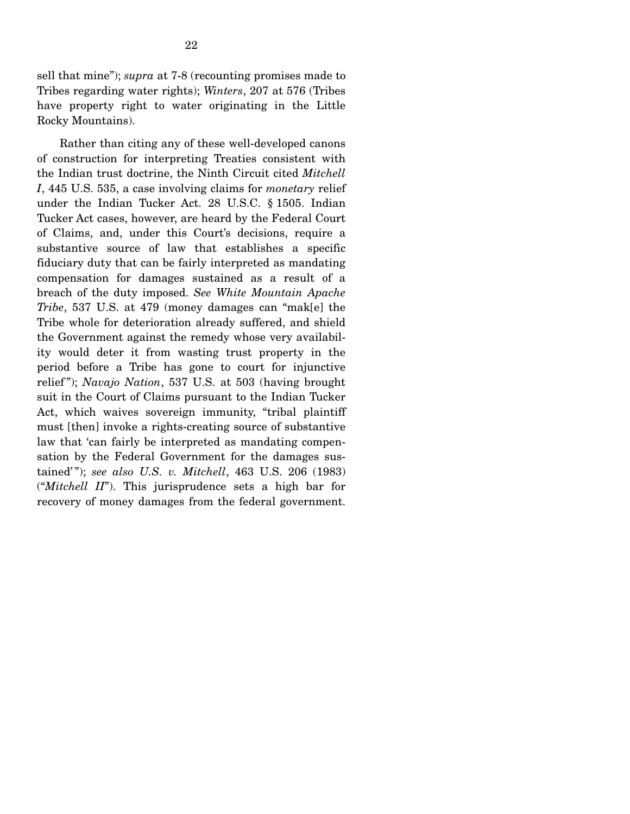sell that mine"); *supra* at 7-8 (recounting promises made to Tribes regarding water rights); *Winters*, 207 at 576 (Tribes have property right to water originating in the Little Rocky Mountains).

 Rather than citing any of these well-developed canons of construction for interpreting Treaties consistent with the Indian trust doctrine, the Ninth Circuit cited *Mitchell I*, 445 U.S. 535, a case involving claims for *monetary* relief under the Indian Tucker Act. 28 U.S.C. § 1505. Indian Tucker Act cases, however, are heard by the Federal Court of Claims, and, under this Court's decisions, require a substantive source of law that establishes a specific fiduciary duty that can be fairly interpreted as mandating compensation for damages sustained as a result of a breach of the duty imposed. *See White Mountain Apache Tribe*, 537 U.S. at 479 (money damages can "mak[e] the Tribe whole for deterioration already suffered, and shield the Government against the remedy whose very availability would deter it from wasting trust property in the period before a Tribe has gone to court for injunctive relief "); *Navajo Nation*, 537 U.S. at 503 (having brought suit in the Court of Claims pursuant to the Indian Tucker Act, which waives sovereign immunity, "tribal plaintiff must [then] invoke a rights-creating source of substantive law that 'can fairly be interpreted as mandating compensation by the Federal Government for the damages sustained' "); *see also U.S. v. Mitchell*, 463 U.S. 206 (1983) ("*Mitchell II*"). This jurisprudence sets a high bar for recovery of money damages from the federal government.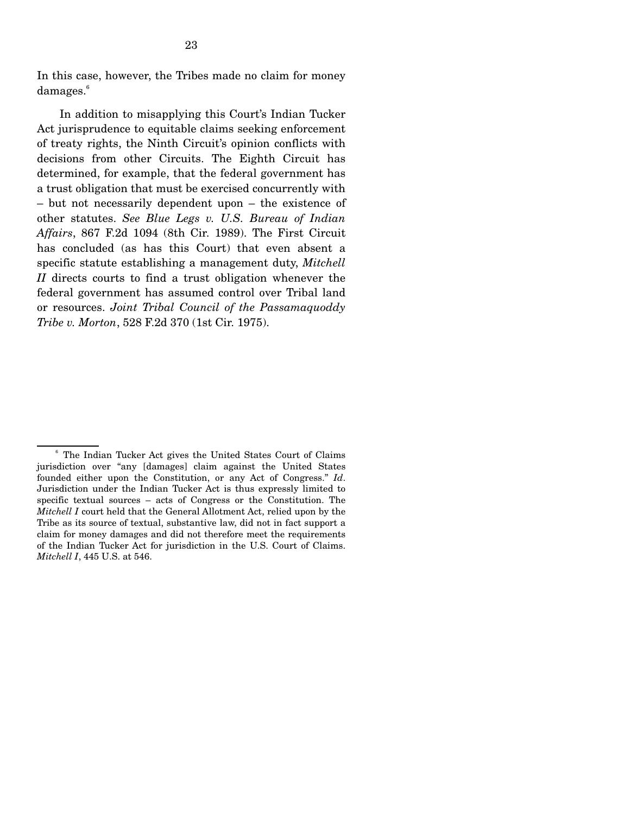In this case, however, the Tribes made no claim for money damages.<sup>6</sup>

 In addition to misapplying this Court's Indian Tucker Act jurisprudence to equitable claims seeking enforcement of treaty rights, the Ninth Circuit's opinion conflicts with decisions from other Circuits. The Eighth Circuit has determined, for example, that the federal government has a trust obligation that must be exercised concurrently with – but not necessarily dependent upon – the existence of other statutes. *See Blue Legs v. U.S. Bureau of Indian Affairs*, 867 F.2d 1094 (8th Cir. 1989). The First Circuit has concluded (as has this Court) that even absent a specific statute establishing a management duty, *Mitchell II* directs courts to find a trust obligation whenever the federal government has assumed control over Tribal land or resources. *Joint Tribal Council of the Passamaquoddy Tribe v. Morton*, 528 F.2d 370 (1st Cir. 1975).

<sup>&</sup>lt;sup>6</sup> The Indian Tucker Act gives the United States Court of Claims jurisdiction over "any [damages] claim against the United States founded either upon the Constitution, or any Act of Congress." *Id*. Jurisdiction under the Indian Tucker Act is thus expressly limited to specific textual sources – acts of Congress or the Constitution. The *Mitchell I* court held that the General Allotment Act, relied upon by the Tribe as its source of textual, substantive law, did not in fact support a claim for money damages and did not therefore meet the requirements of the Indian Tucker Act for jurisdiction in the U.S. Court of Claims. *Mitchell I*, 445 U.S. at 546.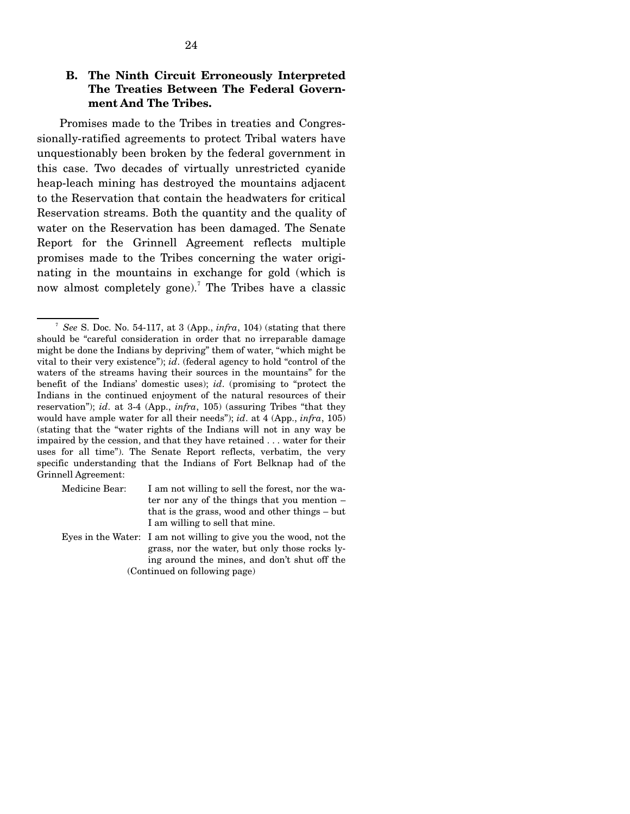### **B. The Ninth Circuit Erroneously Interpreted The Treaties Between The Federal Government And The Tribes.**

 Promises made to the Tribes in treaties and Congressionally-ratified agreements to protect Tribal waters have unquestionably been broken by the federal government in this case. Two decades of virtually unrestricted cyanide heap-leach mining has destroyed the mountains adjacent to the Reservation that contain the headwaters for critical Reservation streams. Both the quantity and the quality of water on the Reservation has been damaged. The Senate Report for the Grinnell Agreement reflects multiple promises made to the Tribes concerning the water originating in the mountains in exchange for gold (which is now almost completely gone).<sup>7</sup> The Tribes have a classic

- Medicine Bear: I am not willing to sell the forest, nor the water nor any of the things that you mention – that is the grass, wood and other things – but I am willing to sell that mine.
- Eyes in the Water: I am not willing to give you the wood, not the grass, nor the water, but only those rocks lying around the mines, and don't shut off the (Continued on following page)

<sup>7</sup> *See* S. Doc. No. 54-117, at 3 (App., *infra*, 104) (stating that there should be "careful consideration in order that no irreparable damage might be done the Indians by depriving" them of water, "which might be vital to their very existence"); *id*. (federal agency to hold "control of the waters of the streams having their sources in the mountains" for the benefit of the Indians' domestic uses); *id*. (promising to "protect the Indians in the continued enjoyment of the natural resources of their reservation"); *id*. at 3-4 (App., *infra*, 105) (assuring Tribes "that they would have ample water for all their needs"); *id*. at 4 (App., *infra*, 105) (stating that the "water rights of the Indians will not in any way be impaired by the cession, and that they have retained . . . water for their uses for all time"). The Senate Report reflects, verbatim, the very specific understanding that the Indians of Fort Belknap had of the Grinnell Agreement: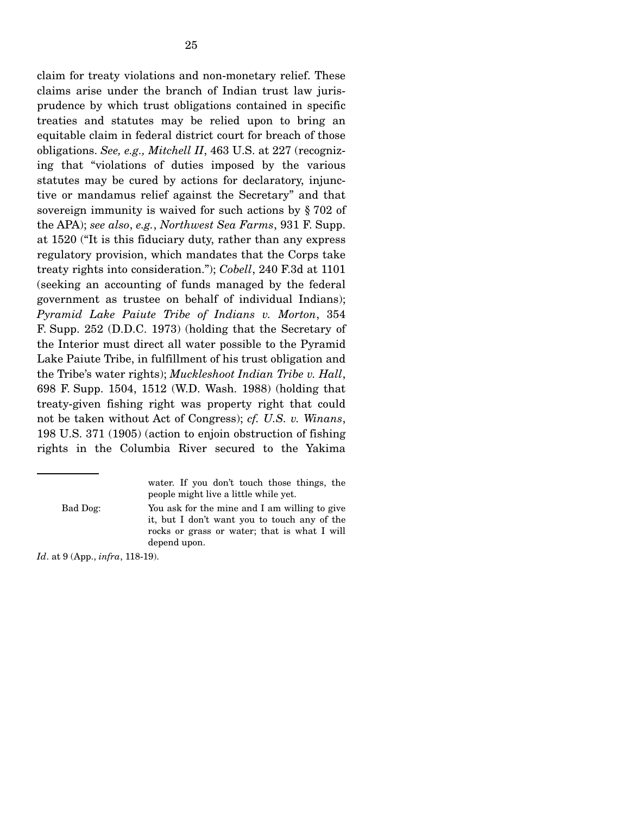claim for treaty violations and non-monetary relief. These claims arise under the branch of Indian trust law jurisprudence by which trust obligations contained in specific treaties and statutes may be relied upon to bring an equitable claim in federal district court for breach of those obligations. *See, e.g., Mitchell II*, 463 U.S. at 227 (recognizing that "violations of duties imposed by the various statutes may be cured by actions for declaratory, injunctive or mandamus relief against the Secretary" and that sovereign immunity is waived for such actions by § 702 of the APA); *see also*, *e.g.*, *Northwest Sea Farms*, 931 F. Supp. at 1520 ("It is this fiduciary duty, rather than any express regulatory provision, which mandates that the Corps take treaty rights into consideration."); *Cobell*, 240 F.3d at 1101 (seeking an accounting of funds managed by the federal government as trustee on behalf of individual Indians); *Pyramid Lake Paiute Tribe of Indians v. Morton*, 354 F. Supp. 252 (D.D.C. 1973) (holding that the Secretary of the Interior must direct all water possible to the Pyramid Lake Paiute Tribe, in fulfillment of his trust obligation and the Tribe's water rights); *Muckleshoot Indian Tribe v. Hall*, 698 F. Supp. 1504, 1512 (W.D. Wash. 1988) (holding that treaty-given fishing right was property right that could not be taken without Act of Congress); *cf. U.S. v. Winans*, 198 U.S. 371 (1905) (action to enjoin obstruction of fishing rights in the Columbia River secured to the Yakima

> water. If you don't touch those things, the people might live a little while yet.

Bad Dog: You ask for the mine and I am willing to give it, but I don't want you to touch any of the rocks or grass or water; that is what I will depend upon.

*Id*. at 9 (App., *infra*, 118-19).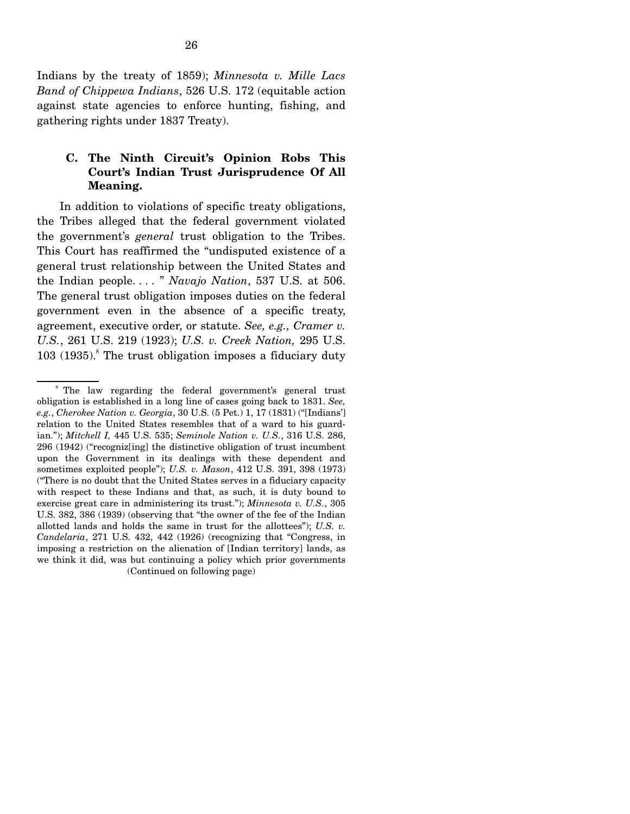Indians by the treaty of 1859); *Minnesota v. Mille Lacs Band of Chippewa Indians*, 526 U.S. 172 (equitable action against state agencies to enforce hunting, fishing, and gathering rights under 1837 Treaty).

### **C. The Ninth Circuit's Opinion Robs This Court's Indian Trust Jurisprudence Of All Meaning.**

 In addition to violations of specific treaty obligations, the Tribes alleged that the federal government violated the government's *general* trust obligation to the Tribes. This Court has reaffirmed the "undisputed existence of a general trust relationship between the United States and the Indian people. . . . " *Navajo Nation*, 537 U.S. at 506. The general trust obligation imposes duties on the federal government even in the absence of a specific treaty, agreement, executive order, or statute. *See, e.g., Cramer v. U.S.*, 261 U.S. 219 (1923); *U.S. v. Creek Nation,* 295 U.S.  $103$  (1935).<sup>8</sup> The trust obligation imposes a fiduciary duty

<sup>&</sup>lt;sup>8</sup> The law regarding the federal government's general trust obligation is established in a long line of cases going back to 1831. *See, e.g.*, *Cherokee Nation v. Georgia*, 30 U.S. (5 Pet.) 1, 17 (1831) ("[Indians'] relation to the United States resembles that of a ward to his guardian."); *Mitchell I,* 445 U.S. 535; *Seminole Nation v. U.S.*, 316 U.S. 286, 296 (1942) ("recogniz[ing] the distinctive obligation of trust incumbent upon the Government in its dealings with these dependent and sometimes exploited people"); *U.S. v. Mason*, 412 U.S. 391, 398 (1973) ("There is no doubt that the United States serves in a fiduciary capacity with respect to these Indians and that, as such, it is duty bound to exercise great care in administering its trust."); *Minnesota v. U.S.*, 305 U.S. 382, 386 (1939) (observing that "the owner of the fee of the Indian allotted lands and holds the same in trust for the allottees"); *U.S. v. Candelaria*, 271 U.S. 432, 442 (1926) (recognizing that "Congress, in imposing a restriction on the alienation of [Indian territory] lands, as we think it did, was but continuing a policy which prior governments (Continued on following page)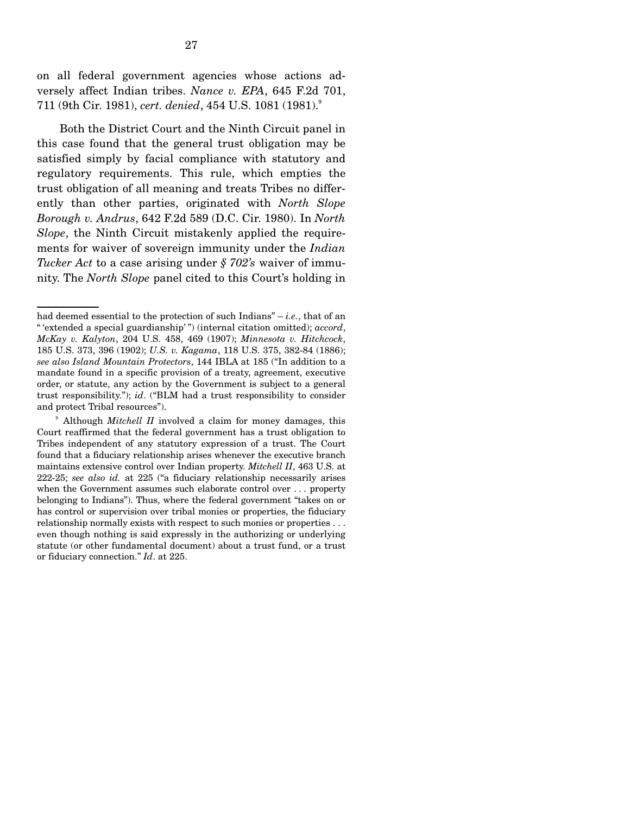on all federal government agencies whose actions adversely affect Indian tribes. *Nance v. EPA*, 645 F.2d 701, 711 (9th Cir. 1981), *cert. denied*, 454 U.S. 1081 (1981).9

 Both the District Court and the Ninth Circuit panel in this case found that the general trust obligation may be satisfied simply by facial compliance with statutory and regulatory requirements. This rule, which empties the trust obligation of all meaning and treats Tribes no differently than other parties, originated with *North Slope Borough v. Andrus*, 642 F.2d 589 (D.C. Cir. 1980). In *North Slope*, the Ninth Circuit mistakenly applied the requirements for waiver of sovereign immunity under the *Indian Tucker Act* to a case arising under *§ 702's* waiver of immunity. The *North Slope* panel cited to this Court's holding in

had deemed essential to the protection of such Indians" – *i.e.*, that of an " 'extended a special guardianship' ") (internal citation omitted); *accord*, *McKay v. Kalyton*, 204 U.S. 458, 469 (1907); *Minnesota v. Hitchcock*, 185 U.S. 373, 396 (1902); *U.S. v. Kagama*, 118 U.S. 375, 382-84 (1886); *see also Island Mountain Protectors*, 144 IBLA at 185 ("In addition to a mandate found in a specific provision of a treaty, agreement, executive order, or statute, any action by the Government is subject to a general trust responsibility."); *id*. ("BLM had a trust responsibility to consider and protect Tribal resources").

<sup>9</sup> Although *Mitchell II* involved a claim for money damages, this Court reaffirmed that the federal government has a trust obligation to Tribes independent of any statutory expression of a trust. The Court found that a fiduciary relationship arises whenever the executive branch maintains extensive control over Indian property. *Mitchell II*, 463 U.S. at 222-25; *see also id.* at 225 ("a fiduciary relationship necessarily arises when the Government assumes such elaborate control over . . . property belonging to Indians"). Thus, where the federal government "takes on or has control or supervision over tribal monies or properties, the fiduciary relationship normally exists with respect to such monies or properties . . . even though nothing is said expressly in the authorizing or underlying statute (or other fundamental document) about a trust fund, or a trust or fiduciary connection." *Id*. at 225.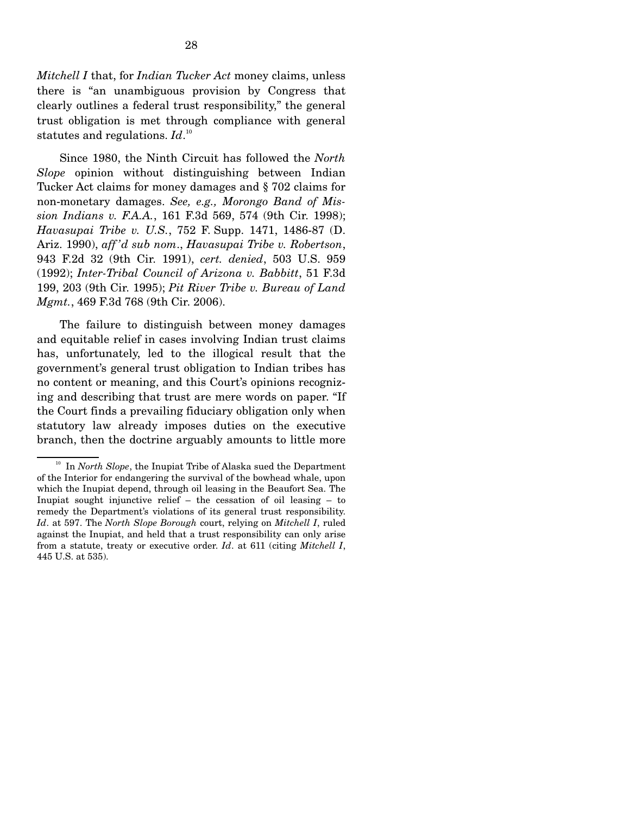*Mitchell I* that, for *Indian Tucker Act* money claims, unless there is "an unambiguous provision by Congress that clearly outlines a federal trust responsibility," the general trust obligation is met through compliance with general  $statutes$  and regulations.  $Id.$   $^{10}$ 

 Since 1980, the Ninth Circuit has followed the *North Slope* opinion without distinguishing between Indian Tucker Act claims for money damages and § 702 claims for non-monetary damages. *See, e.g., Morongo Band of Mission Indians v. F.A.A.*, 161 F.3d 569, 574 (9th Cir. 1998); *Havasupai Tribe v. U.S.*, 752 F. Supp. 1471, 1486-87 (D. Ariz. 1990), *aff 'd sub nom*., *Havasupai Tribe v. Robertson*, 943 F.2d 32 (9th Cir. 1991), *cert. denied*, 503 U.S. 959 (1992); *Inter-Tribal Council of Arizona v. Babbitt*, 51 F.3d 199, 203 (9th Cir. 1995); *Pit River Tribe v. Bureau of Land Mgmt.*, 469 F.3d 768 (9th Cir. 2006).

 The failure to distinguish between money damages and equitable relief in cases involving Indian trust claims has, unfortunately, led to the illogical result that the government's general trust obligation to Indian tribes has no content or meaning, and this Court's opinions recognizing and describing that trust are mere words on paper. "If the Court finds a prevailing fiduciary obligation only when statutory law already imposes duties on the executive branch, then the doctrine arguably amounts to little more

<sup>&</sup>lt;sup>10</sup> In *North Slope*, the Inupiat Tribe of Alaska sued the Department of the Interior for endangering the survival of the bowhead whale, upon which the Inupiat depend, through oil leasing in the Beaufort Sea. The Inupiat sought injunctive relief – the cessation of oil leasing – to remedy the Department's violations of its general trust responsibility. *Id*. at 597. The *North Slope Borough* court, relying on *Mitchell I*, ruled against the Inupiat, and held that a trust responsibility can only arise from a statute, treaty or executive order. *Id*. at 611 (citing *Mitchell I*, 445 U.S. at 535).